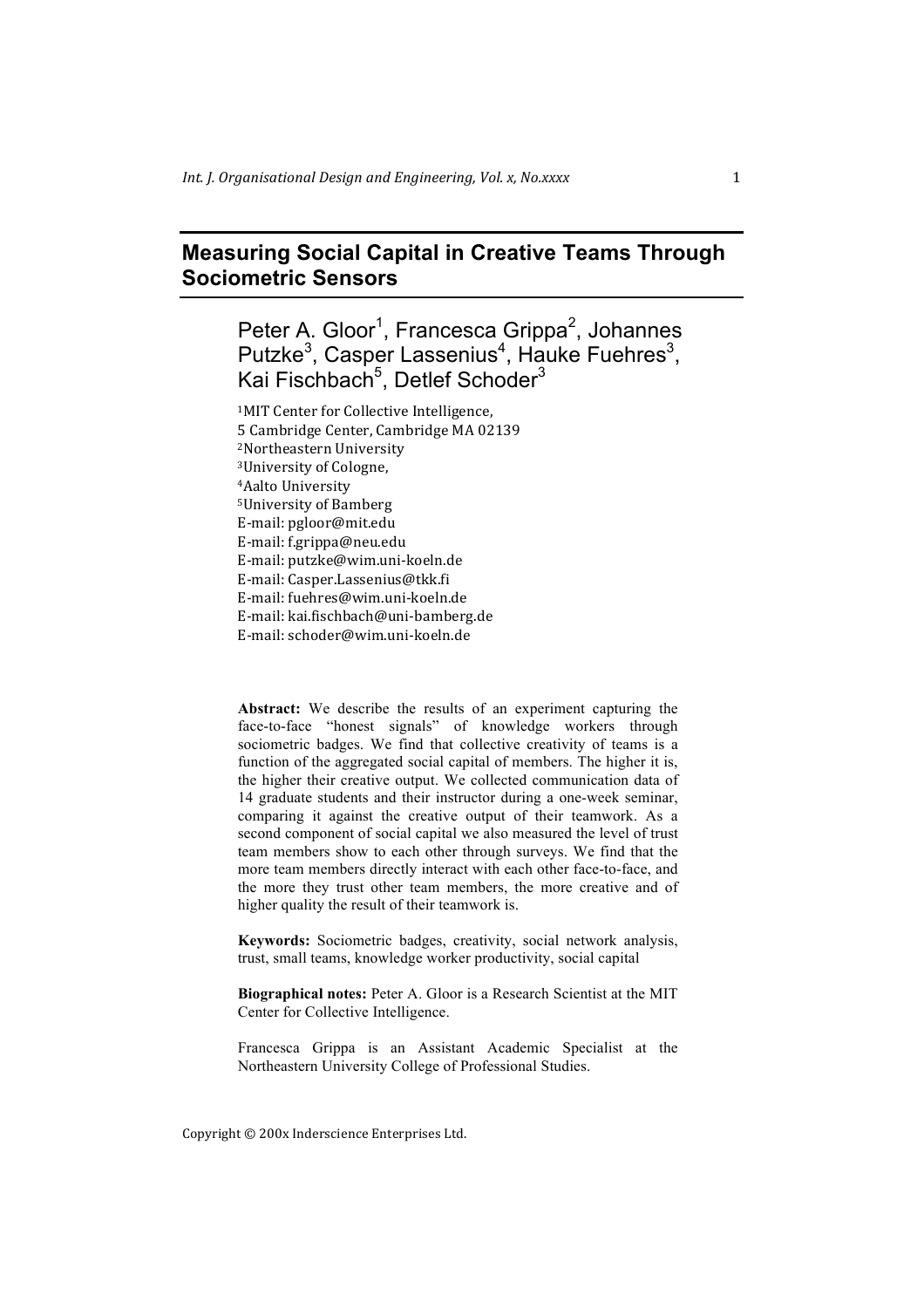# **Measuring Social Capital in Creative Teams Through Sociometric Sensors**

Peter A. Gloor<sup>1</sup>, Francesca Grippa<sup>2</sup>, Johannes Putzke<sup>3</sup>, Casper Lassenius<sup>4</sup>, Hauke Fuehres<sup>3</sup>, Kai Fischbach<sup>5</sup>, Detlef Schoder<sup>3</sup>

<sup>1</sup>MIT Center for Collective Intelligence, 5 Cambridge Center, Cambridge MA 02139 <sup>2</sup>Northeastern University <sup>3</sup>University of Cologne, <sup>4</sup>Aalto University <sup>5</sup>University of Bamberg E-mail: pgloor@mit.edu E-mail: f.grippa@neu.edu E-mail: putzke@wim.uni-koeln.de E-mail: Casper.Lassenius@tkk.fi E-mail: fuehres@wim.uni-koeln.de E-mail: kai.fischbach@uni-bamberg.de E-mail: schoder@wim.uni-koeln.de

**Abstract:** We describe the results of an experiment capturing the face-to-face "honest signals" of knowledge workers through sociometric badges. We find that collective creativity of teams is a function of the aggregated social capital of members. The higher it is, the higher their creative output. We collected communication data of 14 graduate students and their instructor during a one-week seminar, comparing it against the creative output of their teamwork. As a second component of social capital we also measured the level of trust team members show to each other through surveys. We find that the more team members directly interact with each other face-to-face, and the more they trust other team members, the more creative and of higher quality the result of their teamwork is.

**Keywords:** Sociometric badges, creativity, social network analysis, trust, small teams, knowledge worker productivity, social capital

**Biographical notes:** Peter A. Gloor is a Research Scientist at the MIT Center for Collective Intelligence.

Francesca Grippa is an Assistant Academic Specialist at the Northeastern University College of Professional Studies.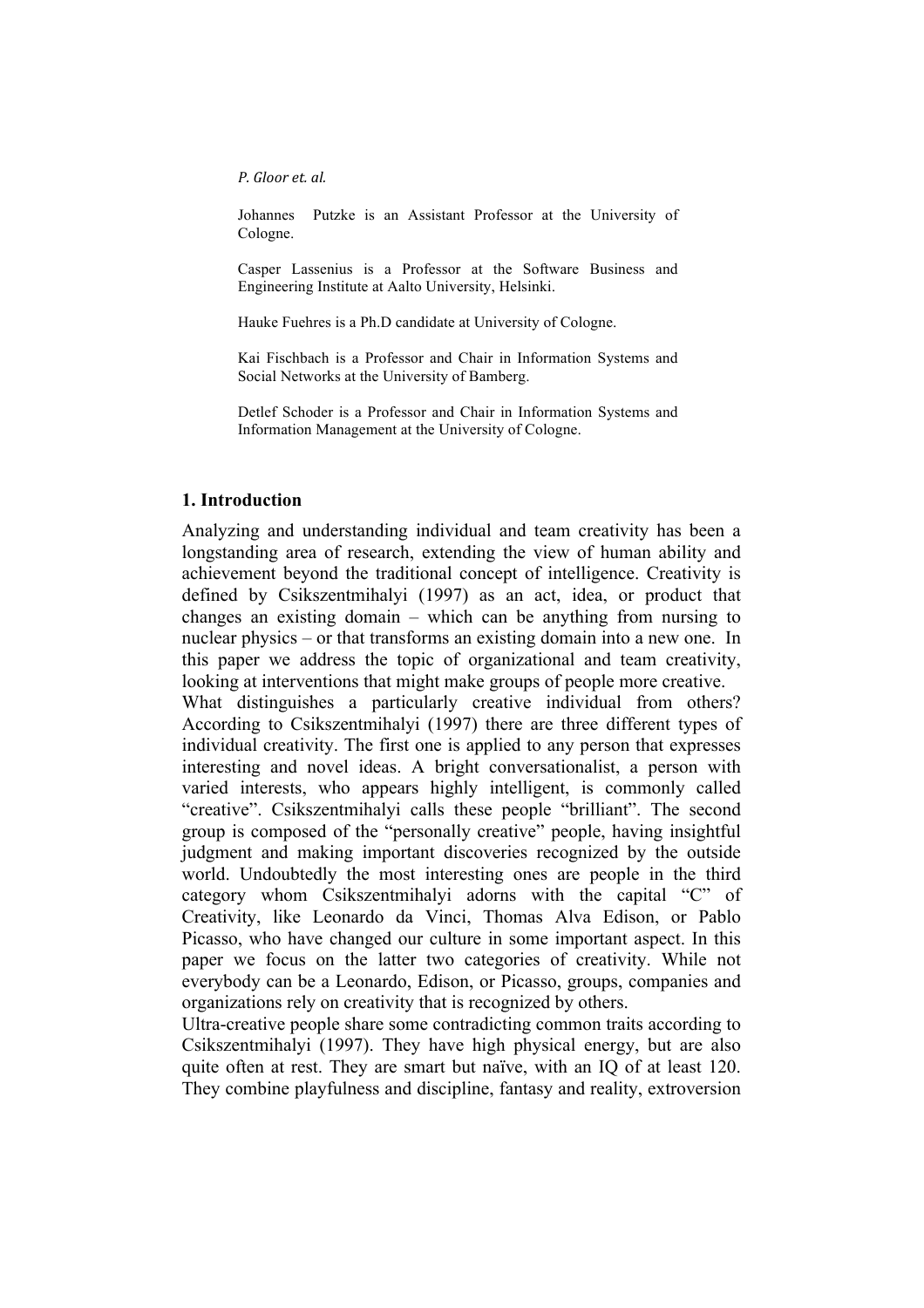Johannes Putzke is an Assistant Professor at the University of Cologne.

Casper Lassenius is a Professor at the Software Business and Engineering Institute at Aalto University, Helsinki.

Hauke Fuehres is a Ph.D candidate at University of Cologne.

Kai Fischbach is a Professor and Chair in Information Systems and Social Networks at the University of Bamberg.

Detlef Schoder is a Professor and Chair in Information Systems and Information Management at the University of Cologne.

### **1. Introduction**

Analyzing and understanding individual and team creativity has been a longstanding area of research, extending the view of human ability and achievement beyond the traditional concept of intelligence. Creativity is defined by Csikszentmihalyi (1997) as an act, idea, or product that changes an existing domain – which can be anything from nursing to nuclear physics – or that transforms an existing domain into a new one. In this paper we address the topic of organizational and team creativity, looking at interventions that might make groups of people more creative.

What distinguishes a particularly creative individual from others? According to Csikszentmihalyi (1997) there are three different types of individual creativity. The first one is applied to any person that expresses interesting and novel ideas. A bright conversationalist, a person with varied interests, who appears highly intelligent, is commonly called "creative". Csikszentmihalyi calls these people "brilliant". The second group is composed of the "personally creative" people, having insightful judgment and making important discoveries recognized by the outside world. Undoubtedly the most interesting ones are people in the third category whom Csikszentmihalyi adorns with the capital "C" of Creativity, like Leonardo da Vinci, Thomas Alva Edison, or Pablo Picasso, who have changed our culture in some important aspect. In this paper we focus on the latter two categories of creativity. While not everybody can be a Leonardo, Edison, or Picasso, groups, companies and organizations rely on creativity that is recognized by others.

Ultra-creative people share some contradicting common traits according to Csikszentmihalyi (1997). They have high physical energy, but are also quite often at rest. They are smart but naïve, with an IQ of at least 120. They combine playfulness and discipline, fantasy and reality, extroversion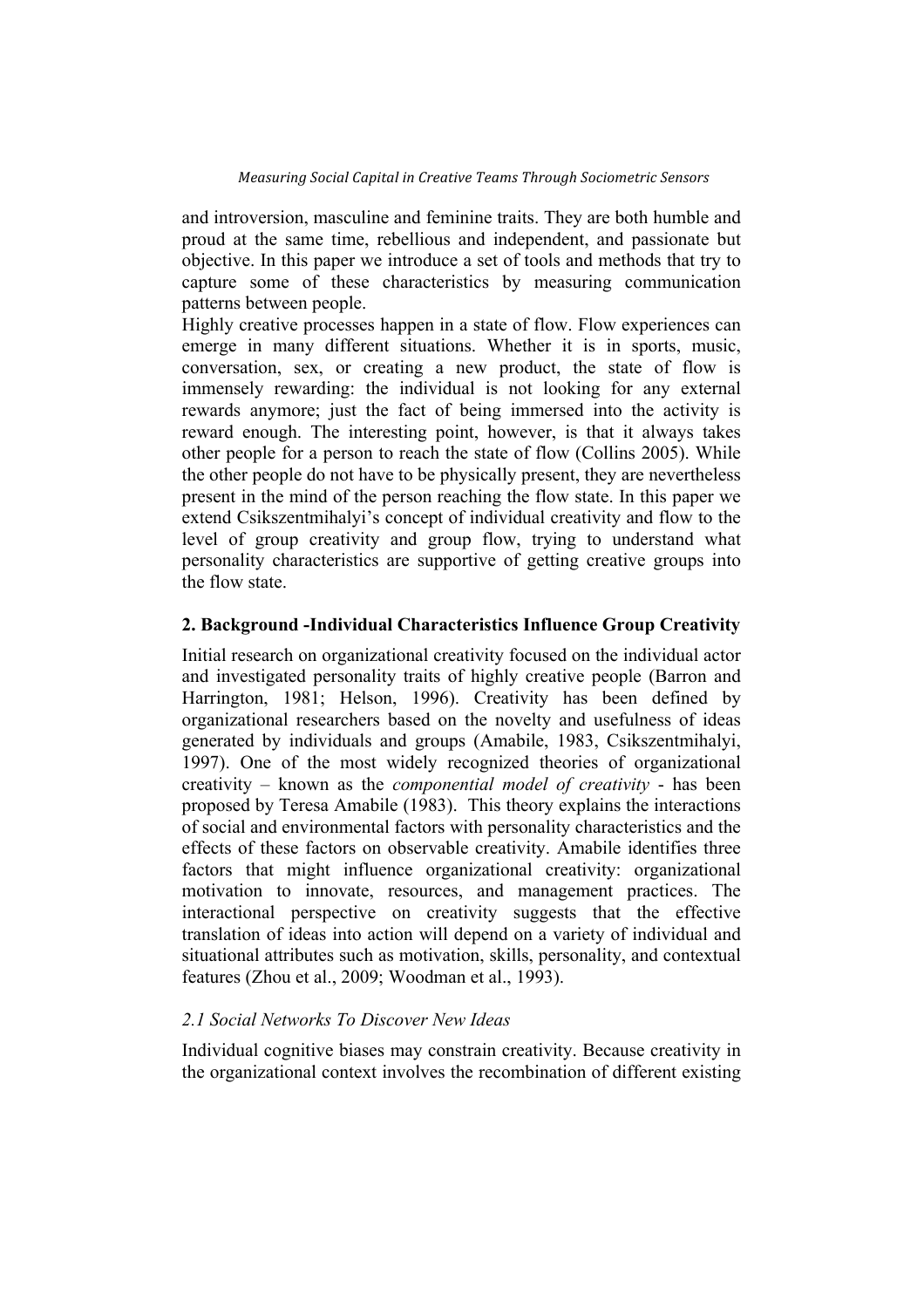and introversion, masculine and feminine traits. They are both humble and proud at the same time, rebellious and independent, and passionate but objective. In this paper we introduce a set of tools and methods that try to capture some of these characteristics by measuring communication patterns between people.

Highly creative processes happen in a state of flow. Flow experiences can emerge in many different situations. Whether it is in sports, music, conversation, sex, or creating a new product, the state of flow is immensely rewarding: the individual is not looking for any external rewards anymore; just the fact of being immersed into the activity is reward enough. The interesting point, however, is that it always takes other people for a person to reach the state of flow (Collins 2005). While the other people do not have to be physically present, they are nevertheless present in the mind of the person reaching the flow state. In this paper we extend Csikszentmihalyi's concept of individual creativity and flow to the level of group creativity and group flow, trying to understand what personality characteristics are supportive of getting creative groups into the flow state.

# **2. Background -Individual Characteristics Influence Group Creativity**

Initial research on organizational creativity focused on the individual actor and investigated personality traits of highly creative people (Barron and Harrington, 1981; Helson, 1996). Creativity has been defined by organizational researchers based on the novelty and usefulness of ideas generated by individuals and groups (Amabile, 1983, Csikszentmihalyi, 1997). One of the most widely recognized theories of organizational creativity – known as the *componential model of creativity* - has been proposed by Teresa Amabile (1983). This theory explains the interactions of social and environmental factors with personality characteristics and the effects of these factors on observable creativity. Amabile identifies three factors that might influence organizational creativity: organizational motivation to innovate, resources, and management practices. The interactional perspective on creativity suggests that the effective translation of ideas into action will depend on a variety of individual and situational attributes such as motivation, skills, personality, and contextual features (Zhou et al., 2009; Woodman et al., 1993).

# *2.1 Social Networks To Discover New Ideas*

Individual cognitive biases may constrain creativity. Because creativity in the organizational context involves the recombination of different existing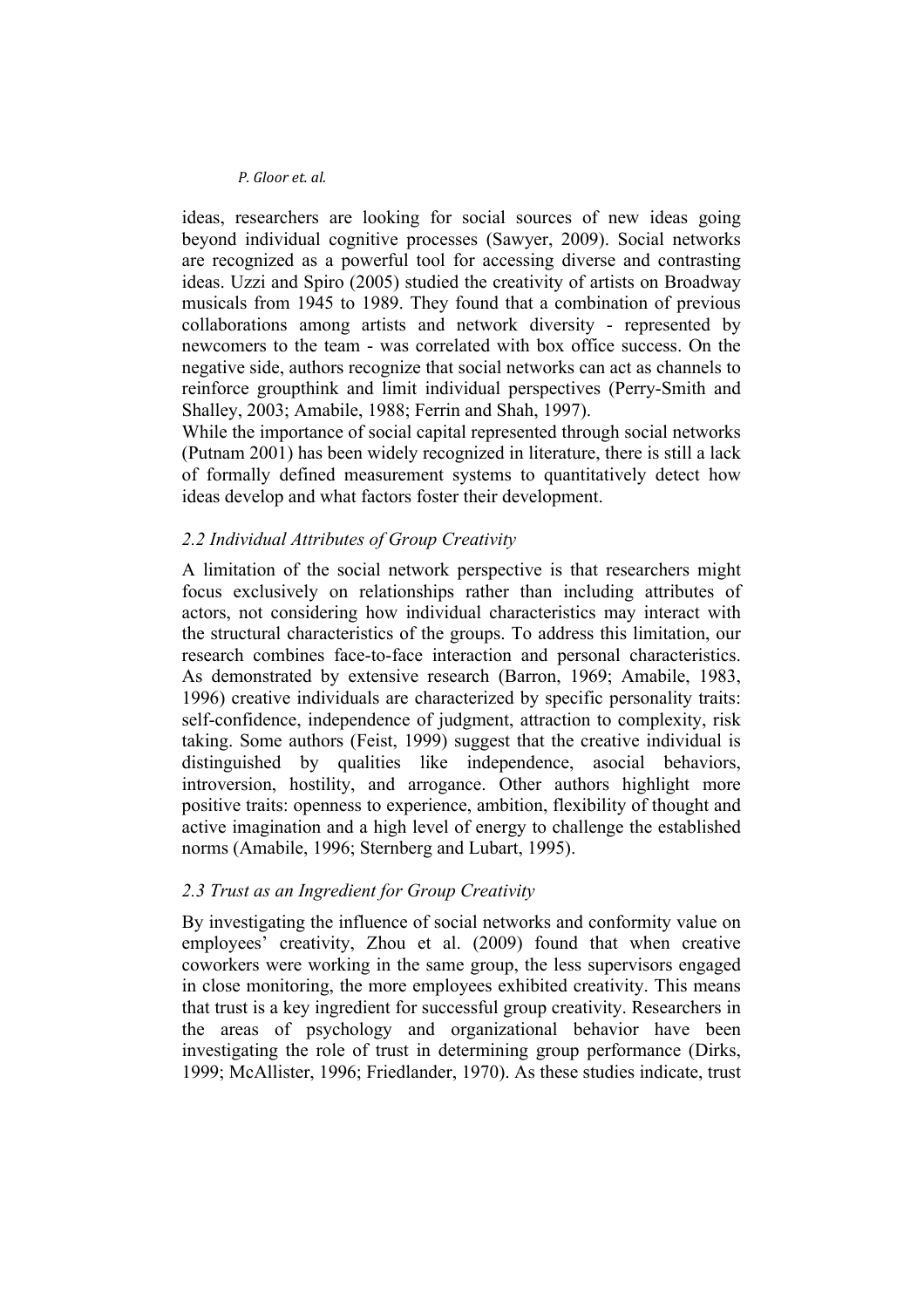ideas, researchers are looking for social sources of new ideas going beyond individual cognitive processes (Sawyer, 2009). Social networks are recognized as a powerful tool for accessing diverse and contrasting ideas. Uzzi and Spiro (2005) studied the creativity of artists on Broadway musicals from 1945 to 1989. They found that a combination of previous collaborations among artists and network diversity - represented by newcomers to the team - was correlated with box office success. On the negative side, authors recognize that social networks can act as channels to reinforce groupthink and limit individual perspectives (Perry-Smith and Shalley, 2003; Amabile, 1988; Ferrin and Shah, 1997).

While the importance of social capital represented through social networks (Putnam 2001) has been widely recognized in literature, there is still a lack of formally defined measurement systems to quantitatively detect how ideas develop and what factors foster their development.

# *2.2 Individual Attributes of Group Creativity*

A limitation of the social network perspective is that researchers might focus exclusively on relationships rather than including attributes of actors, not considering how individual characteristics may interact with the structural characteristics of the groups. To address this limitation, our research combines face-to-face interaction and personal characteristics. As demonstrated by extensive research (Barron, 1969; Amabile, 1983, 1996) creative individuals are characterized by specific personality traits: self-confidence, independence of judgment, attraction to complexity, risk taking. Some authors (Feist, 1999) suggest that the creative individual is distinguished by qualities like independence, asocial behaviors, introversion, hostility, and arrogance. Other authors highlight more positive traits: openness to experience, ambition, flexibility of thought and active imagination and a high level of energy to challenge the established norms (Amabile, 1996; Sternberg and Lubart, 1995).

# *2.3 Trust as an Ingredient for Group Creativity*

By investigating the influence of social networks and conformity value on employees' creativity, Zhou et al. (2009) found that when creative coworkers were working in the same group, the less supervisors engaged in close monitoring, the more employees exhibited creativity. This means that trust is a key ingredient for successful group creativity. Researchers in the areas of psychology and organizational behavior have been investigating the role of trust in determining group performance (Dirks, 1999; McAllister, 1996; Friedlander, 1970). As these studies indicate, trust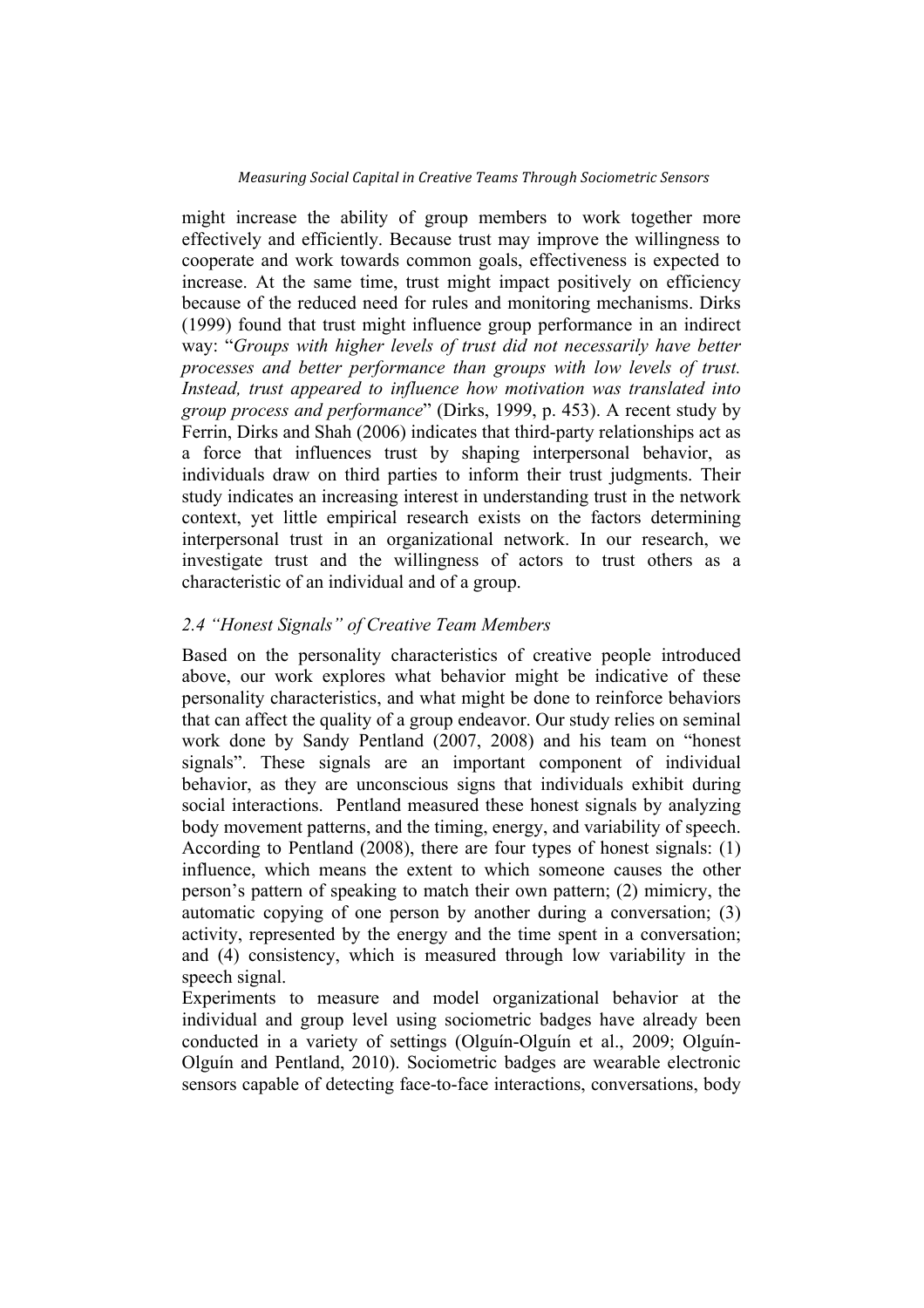might increase the ability of group members to work together more effectively and efficiently. Because trust may improve the willingness to cooperate and work towards common goals, effectiveness is expected to increase. At the same time, trust might impact positively on efficiency because of the reduced need for rules and monitoring mechanisms. Dirks (1999) found that trust might influence group performance in an indirect way: "*Groups with higher levels of trust did not necessarily have better processes and better performance than groups with low levels of trust. Instead, trust appeared to influence how motivation was translated into group process and performance*" (Dirks, 1999, p. 453). A recent study by Ferrin, Dirks and Shah (2006) indicates that third-party relationships act as a force that influences trust by shaping interpersonal behavior, as individuals draw on third parties to inform their trust judgments. Their study indicates an increasing interest in understanding trust in the network context, yet little empirical research exists on the factors determining interpersonal trust in an organizational network. In our research, we investigate trust and the willingness of actors to trust others as a characteristic of an individual and of a group.

# *2.4 "Honest Signals" of Creative Team Members*

Based on the personality characteristics of creative people introduced above, our work explores what behavior might be indicative of these personality characteristics, and what might be done to reinforce behaviors that can affect the quality of a group endeavor. Our study relies on seminal work done by Sandy Pentland (2007, 2008) and his team on "honest signals". These signals are an important component of individual behavior, as they are unconscious signs that individuals exhibit during social interactions. Pentland measured these honest signals by analyzing body movement patterns, and the timing, energy, and variability of speech. According to Pentland (2008), there are four types of honest signals: (1) influence, which means the extent to which someone causes the other person's pattern of speaking to match their own pattern; (2) mimicry, the automatic copying of one person by another during a conversation; (3) activity, represented by the energy and the time spent in a conversation; and (4) consistency, which is measured through low variability in the speech signal.

Experiments to measure and model organizational behavior at the individual and group level using sociometric badges have already been conducted in a variety of settings (Olguín-Olguín et al., 2009; Olguín-Olguín and Pentland, 2010). Sociometric badges are wearable electronic sensors capable of detecting face-to-face interactions, conversations, body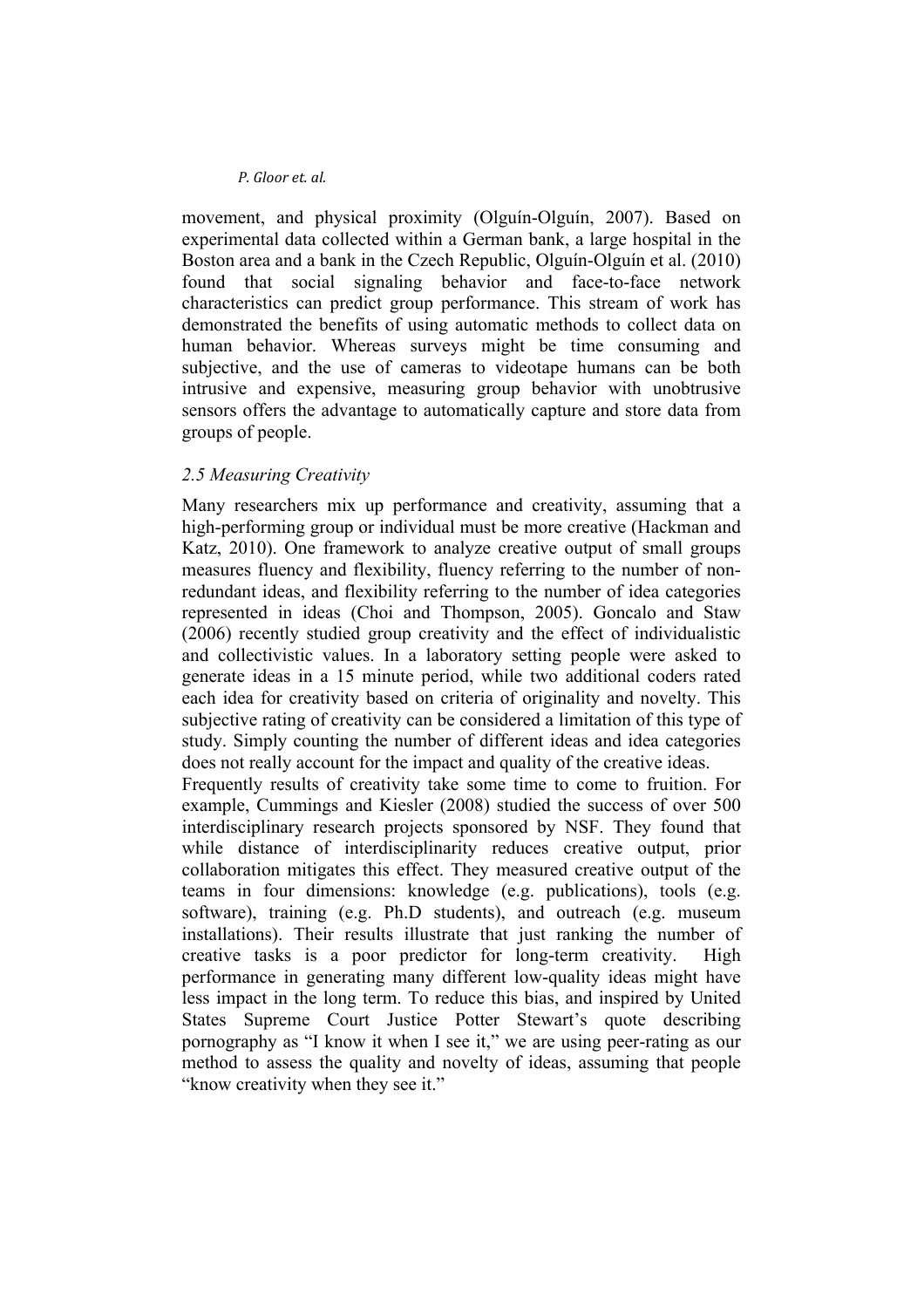movement, and physical proximity (Olguín-Olguín, 2007). Based on experimental data collected within a German bank, a large hospital in the Boston area and a bank in the Czech Republic, Olguín-Olguín et al. (2010) found that social signaling behavior and face-to-face network characteristics can predict group performance. This stream of work has demonstrated the benefits of using automatic methods to collect data on human behavior. Whereas surveys might be time consuming and subjective, and the use of cameras to videotape humans can be both intrusive and expensive, measuring group behavior with unobtrusive sensors offers the advantage to automatically capture and store data from groups of people.

### *2.5 Measuring Creativity*

Many researchers mix up performance and creativity, assuming that a high-performing group or individual must be more creative (Hackman and Katz, 2010). One framework to analyze creative output of small groups measures fluency and flexibility, fluency referring to the number of nonredundant ideas, and flexibility referring to the number of idea categories represented in ideas (Choi and Thompson, 2005). Goncalo and Staw (2006) recently studied group creativity and the effect of individualistic and collectivistic values. In a laboratory setting people were asked to generate ideas in a 15 minute period, while two additional coders rated each idea for creativity based on criteria of originality and novelty. This subjective rating of creativity can be considered a limitation of this type of study. Simply counting the number of different ideas and idea categories does not really account for the impact and quality of the creative ideas.

Frequently results of creativity take some time to come to fruition. For example, Cummings and Kiesler (2008) studied the success of over 500 interdisciplinary research projects sponsored by NSF. They found that while distance of interdisciplinarity reduces creative output, prior collaboration mitigates this effect. They measured creative output of the teams in four dimensions: knowledge (e.g. publications), tools (e.g. software), training (e.g. Ph.D students), and outreach (e.g. museum installations). Their results illustrate that just ranking the number of creative tasks is a poor predictor for long-term creativity. High performance in generating many different low-quality ideas might have less impact in the long term. To reduce this bias, and inspired by United States Supreme Court Justice Potter Stewart's quote describing pornography as "I know it when I see it," we are using peer-rating as our method to assess the quality and novelty of ideas, assuming that people "know creativity when they see it."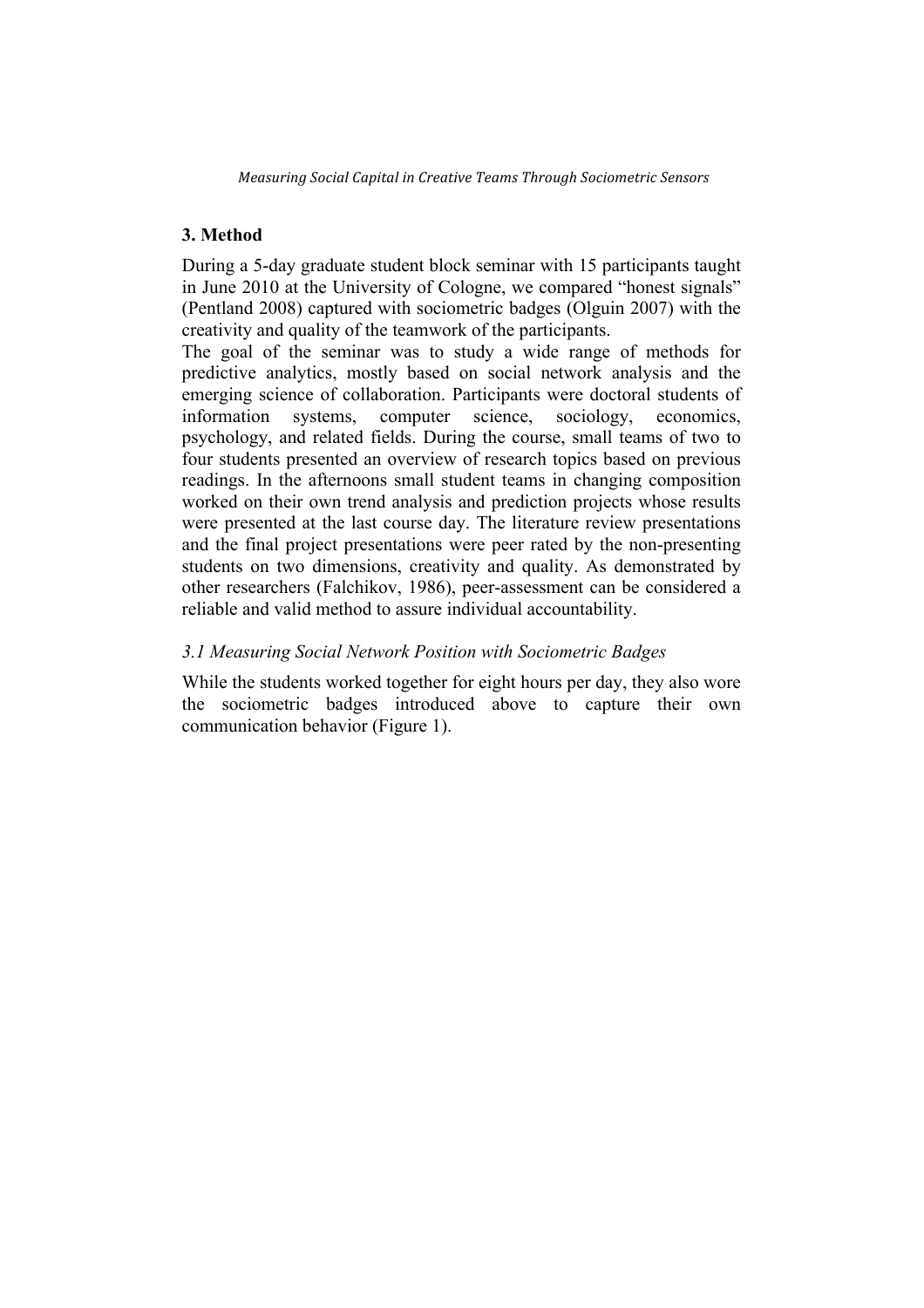# **3. Method**

During a 5-day graduate student block seminar with 15 participants taught in June 2010 at the University of Cologne, we compared "honest signals" (Pentland 2008) captured with sociometric badges (Olguin 2007) with the creativity and quality of the teamwork of the participants.

The goal of the seminar was to study a wide range of methods for predictive analytics, mostly based on social network analysis and the emerging science of collaboration. Participants were doctoral students of information systems, computer science, sociology, economics, psychology, and related fields. During the course, small teams of two to four students presented an overview of research topics based on previous readings. In the afternoons small student teams in changing composition worked on their own trend analysis and prediction projects whose results were presented at the last course day. The literature review presentations and the final project presentations were peer rated by the non-presenting students on two dimensions, creativity and quality. As demonstrated by other researchers (Falchikov, 1986), peer-assessment can be considered a reliable and valid method to assure individual accountability.

## *3.1 Measuring Social Network Position with Sociometric Badges*

While the students worked together for eight hours per day, they also wore the sociometric badges introduced above to capture their own communication behavior (Figure 1).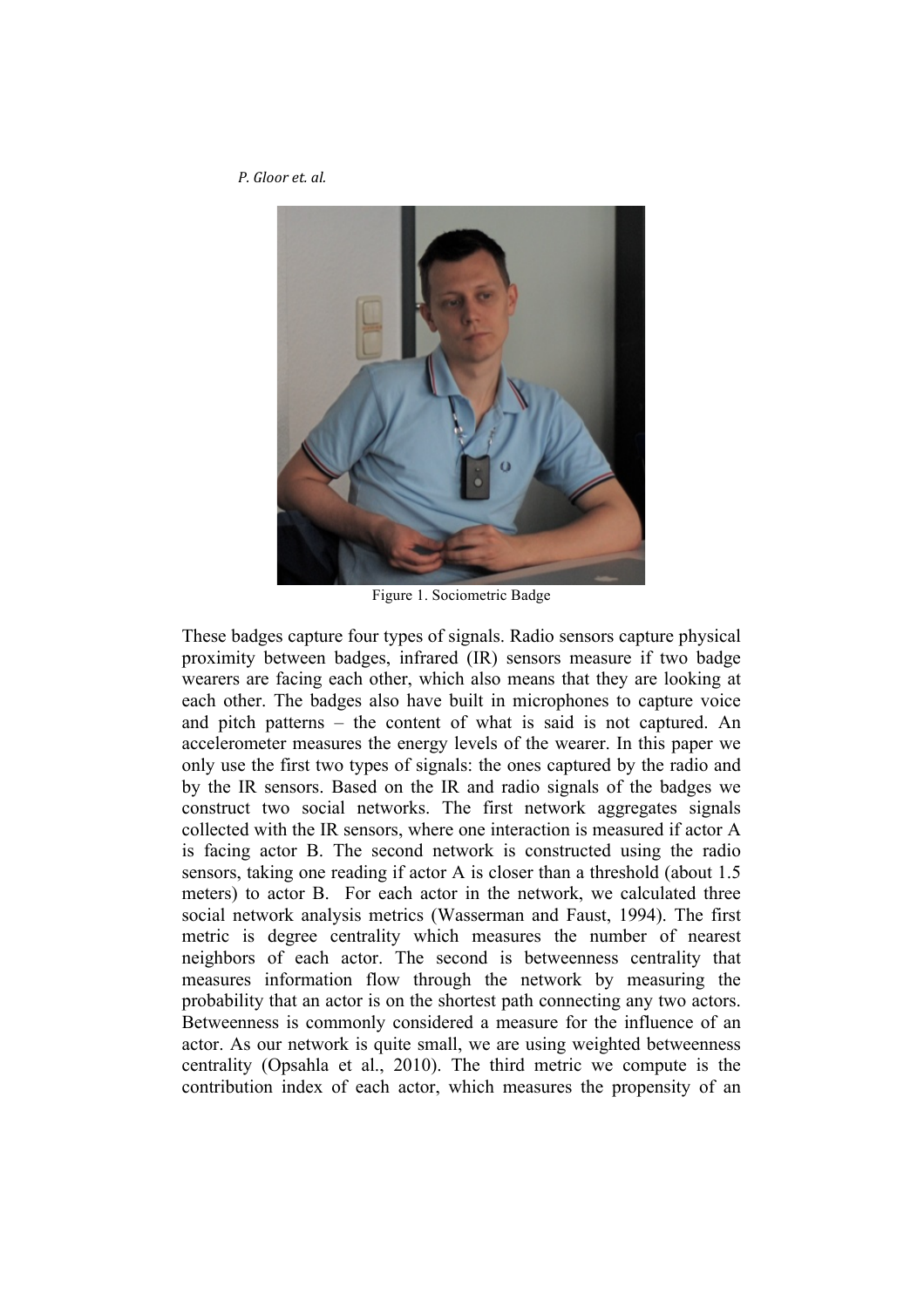

Figure 1. Sociometric Badge

These badges capture four types of signals. Radio sensors capture physical proximity between badges, infrared (IR) sensors measure if two badge wearers are facing each other, which also means that they are looking at each other. The badges also have built in microphones to capture voice and pitch patterns – the content of what is said is not captured. An accelerometer measures the energy levels of the wearer. In this paper we only use the first two types of signals: the ones captured by the radio and by the IR sensors. Based on the IR and radio signals of the badges we construct two social networks. The first network aggregates signals collected with the IR sensors, where one interaction is measured if actor A is facing actor B. The second network is constructed using the radio sensors, taking one reading if actor A is closer than a threshold (about 1.5 meters) to actor B. For each actor in the network, we calculated three social network analysis metrics (Wasserman and Faust, 1994). The first metric is degree centrality which measures the number of nearest neighbors of each actor. The second is betweenness centrality that measures information flow through the network by measuring the probability that an actor is on the shortest path connecting any two actors. Betweenness is commonly considered a measure for the influence of an actor. As our network is quite small, we are using weighted betweenness centrality (Opsahla et al., 2010). The third metric we compute is the contribution index of each actor, which measures the propensity of an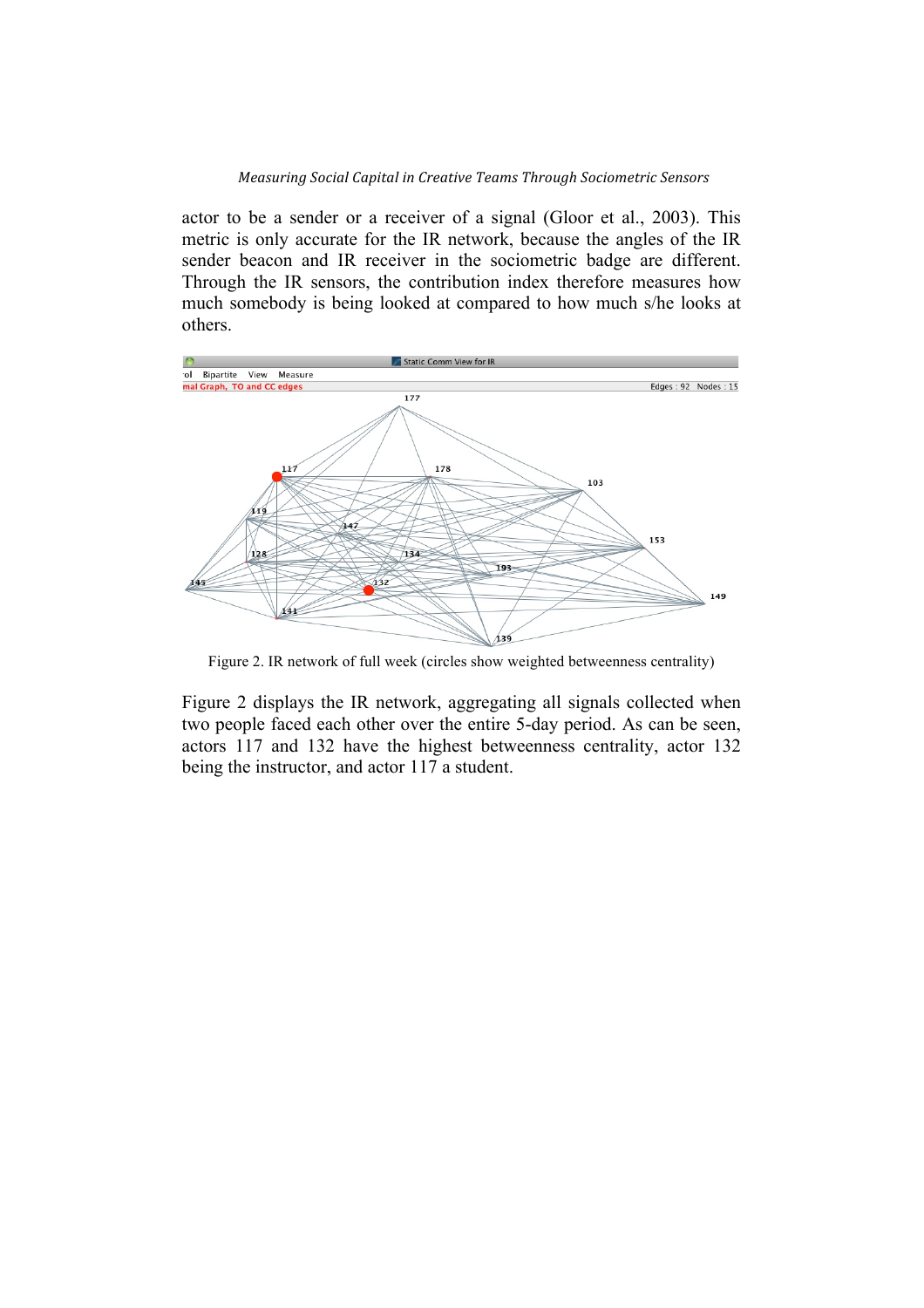actor to be a sender or a receiver of a signal (Gloor et al., 2003). This metric is only accurate for the IR network, because the angles of the IR sender beacon and IR receiver in the sociometric badge are different. Through the IR sensors, the contribution index therefore measures how much somebody is being looked at compared to how much s/he looks at others.



Figure 2. IR network of full week (circles show weighted betweenness centrality)

Figure 2 displays the IR network, aggregating all signals collected when two people faced each other over the entire 5-day period. As can be seen, actors 117 and 132 have the highest betweenness centrality, actor 132 being the instructor, and actor 117 a student.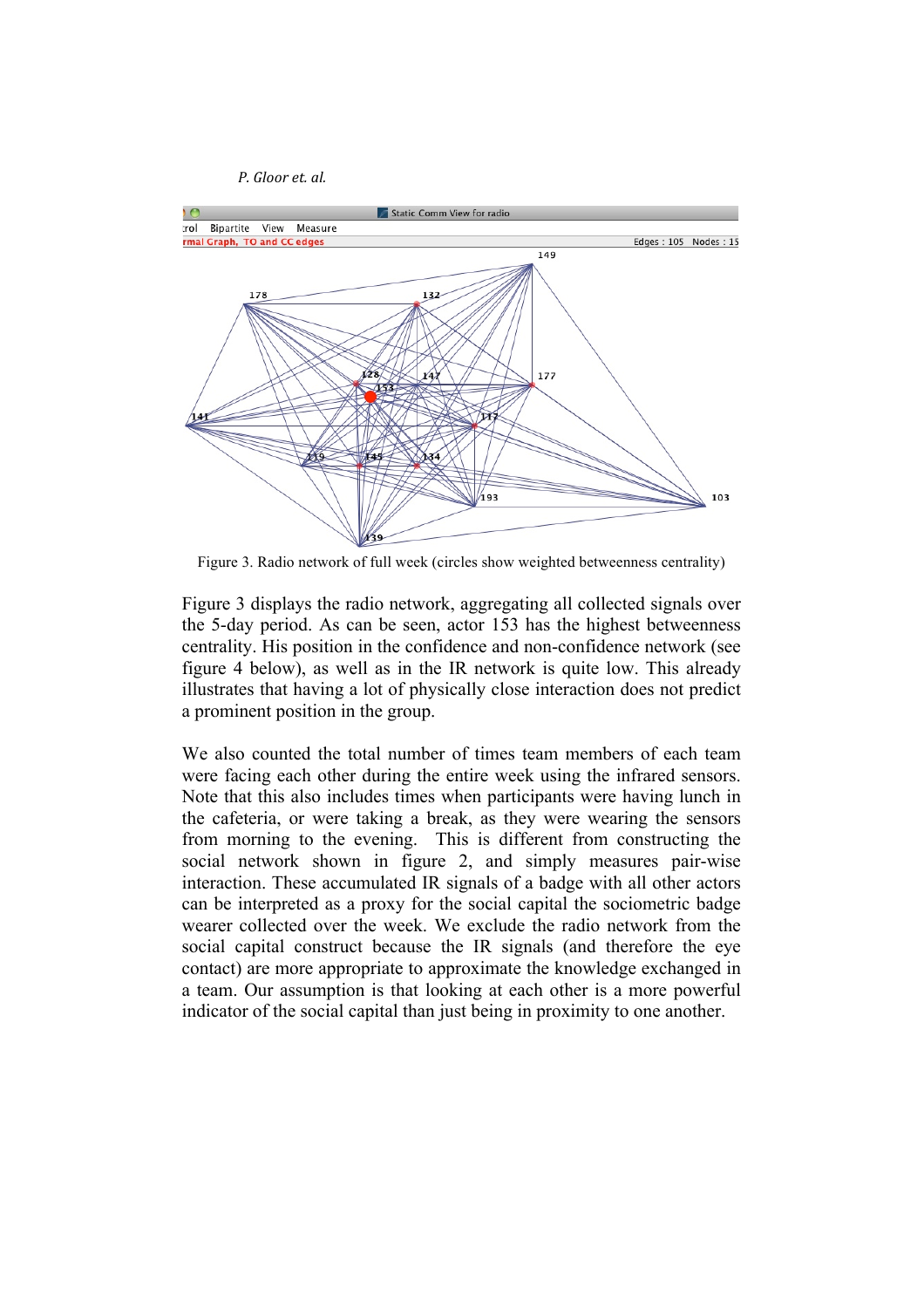



Figure 3. Radio network of full week (circles show weighted betweenness centrality)

Figure 3 displays the radio network, aggregating all collected signals over the 5-day period. As can be seen, actor 153 has the highest betweenness centrality. His position in the confidence and non-confidence network (see figure 4 below), as well as in the IR network is quite low. This already illustrates that having a lot of physically close interaction does not predict a prominent position in the group.

We also counted the total number of times team members of each team were facing each other during the entire week using the infrared sensors. Note that this also includes times when participants were having lunch in the cafeteria, or were taking a break, as they were wearing the sensors from morning to the evening. This is different from constructing the social network shown in figure 2, and simply measures pair-wise interaction. These accumulated IR signals of a badge with all other actors can be interpreted as a proxy for the social capital the sociometric badge wearer collected over the week. We exclude the radio network from the social capital construct because the IR signals (and therefore the eye contact) are more appropriate to approximate the knowledge exchanged in a team. Our assumption is that looking at each other is a more powerful indicator of the social capital than just being in proximity to one another.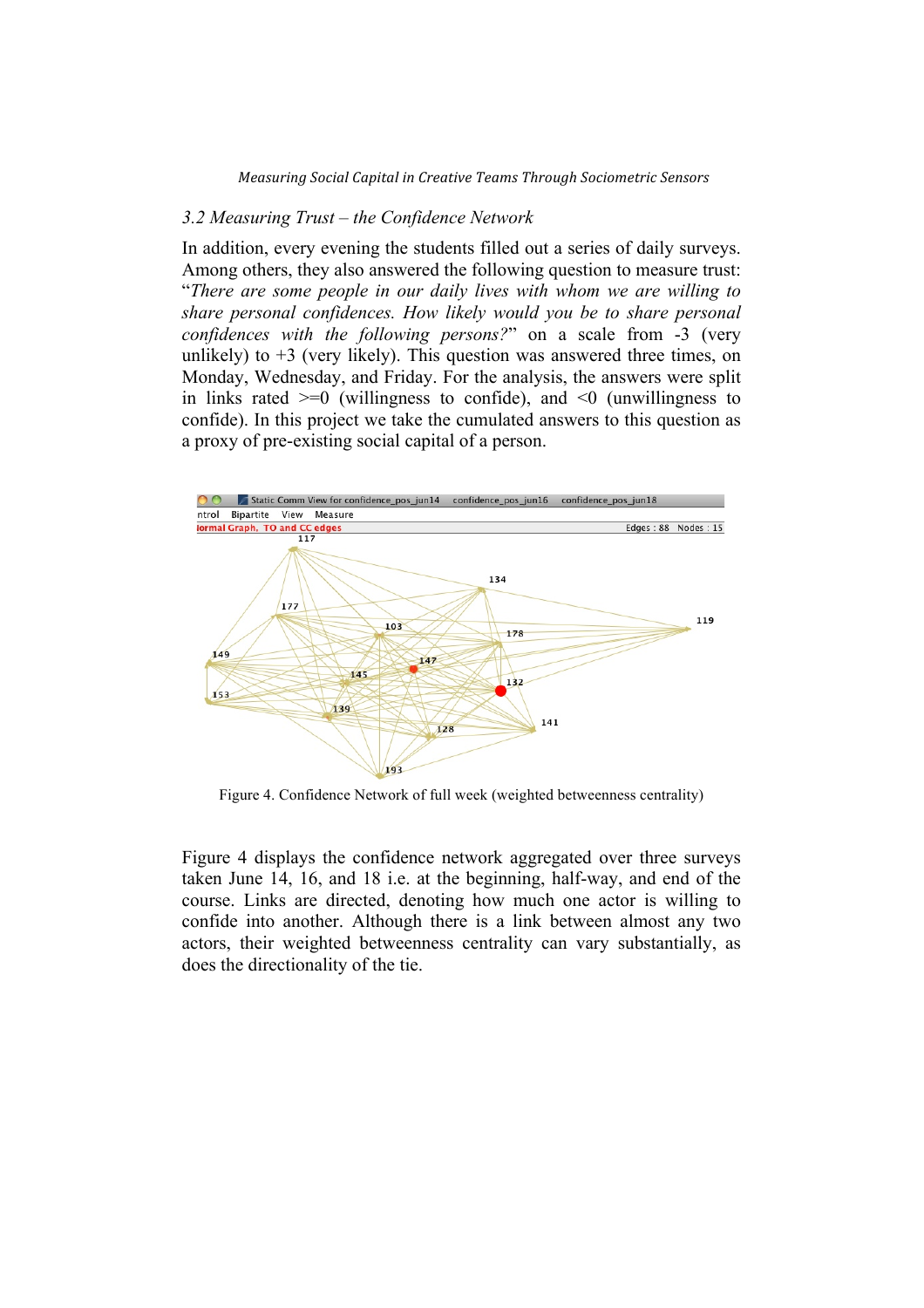### *3.2 Measuring Trust – the Confidence Network*

In addition, every evening the students filled out a series of daily surveys. Among others, they also answered the following question to measure trust: "*There are some people in our daily lives with whom we are willing to share personal confidences. How likely would you be to share personal confidences with the following persons?*" on a scale from -3 (very unlikely) to  $+3$  (very likely). This question was answered three times, on Monday, Wednesday, and Friday. For the analysis, the answers were split in links rated  $\geq 0$  (willingness to confide), and  $\leq 0$  (unwillingness to confide). In this project we take the cumulated answers to this question as a proxy of pre-existing social capital of a person.



Figure 4. Confidence Network of full week (weighted betweenness centrality)

Figure 4 displays the confidence network aggregated over three surveys taken June 14, 16, and 18 i.e. at the beginning, half-way, and end of the course. Links are directed, denoting how much one actor is willing to confide into another. Although there is a link between almost any two actors, their weighted betweenness centrality can vary substantially, as does the directionality of the tie.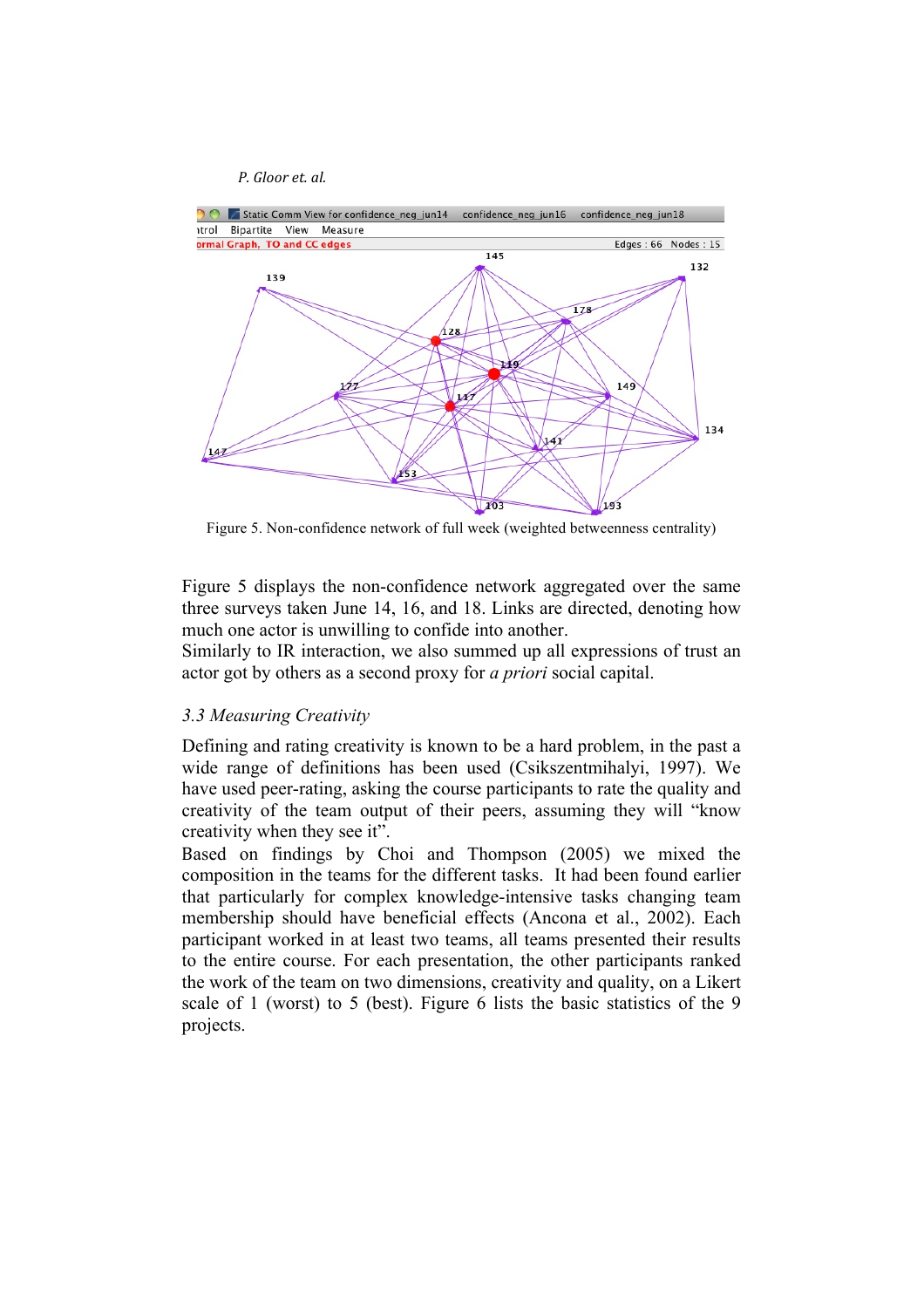

Figure 5. Non-confidence network of full week (weighted betweenness centrality)

Figure 5 displays the non-confidence network aggregated over the same three surveys taken June 14, 16, and 18. Links are directed, denoting how much one actor is unwilling to confide into another.

Similarly to IR interaction, we also summed up all expressions of trust an actor got by others as a second proxy for *a priori* social capital.

### *3.3 Measuring Creativity*

Defining and rating creativity is known to be a hard problem, in the past a wide range of definitions has been used (Csikszentmihalyi, 1997). We have used peer-rating, asking the course participants to rate the quality and creativity of the team output of their peers, assuming they will "know creativity when they see it".

Based on findings by Choi and Thompson (2005) we mixed the composition in the teams for the different tasks. It had been found earlier that particularly for complex knowledge-intensive tasks changing team membership should have beneficial effects (Ancona et al., 2002). Each participant worked in at least two teams, all teams presented their results to the entire course. For each presentation, the other participants ranked the work of the team on two dimensions, creativity and quality, on a Likert scale of 1 (worst) to 5 (best). Figure 6 lists the basic statistics of the 9 projects.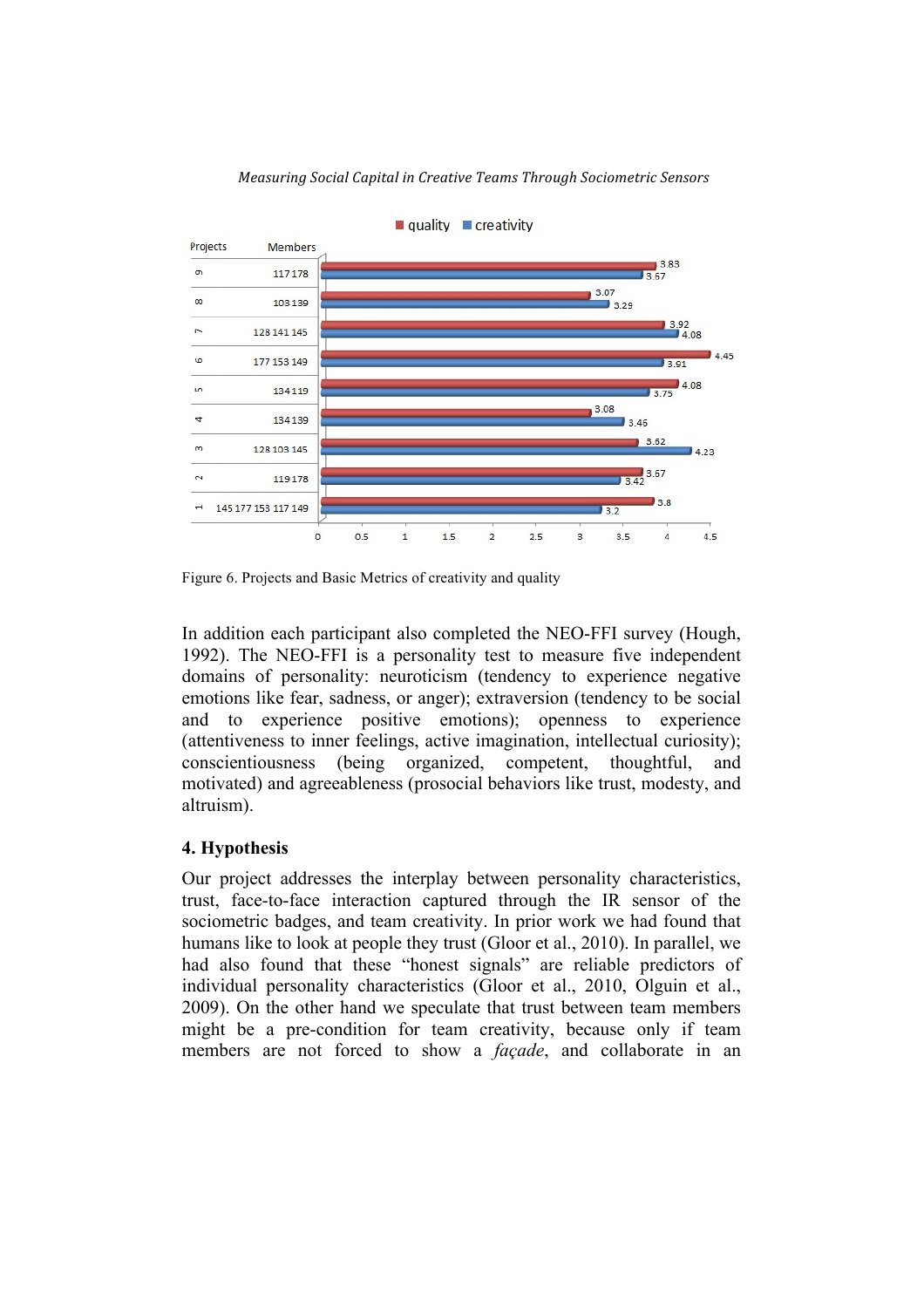

Figure 6. Projects and Basic Metrics of creativity and quality

In addition each participant also completed the NEO-FFI survey (Hough, 1992). The NEO-FFI is a personality test to measure five independent domains of personality: neuroticism (tendency to experience negative emotions like fear, sadness, or anger); extraversion (tendency to be social and to experience positive emotions); openness to experience (attentiveness to inner feelings, active imagination, intellectual curiosity); conscientiousness (being organized, competent, thoughtful, and motivated) and agreeableness (prosocial behaviors like trust, modesty, and altruism).

# **4. Hypothesis**

Our project addresses the interplay between personality characteristics, trust, face-to-face interaction captured through the IR sensor of the sociometric badges, and team creativity. In prior work we had found that humans like to look at people they trust (Gloor et al., 2010). In parallel, we had also found that these "honest signals" are reliable predictors of individual personality characteristics (Gloor et al., 2010, Olguin et al., 2009). On the other hand we speculate that trust between team members might be a pre-condition for team creativity, because only if team members are not forced to show a *façade*, and collaborate in an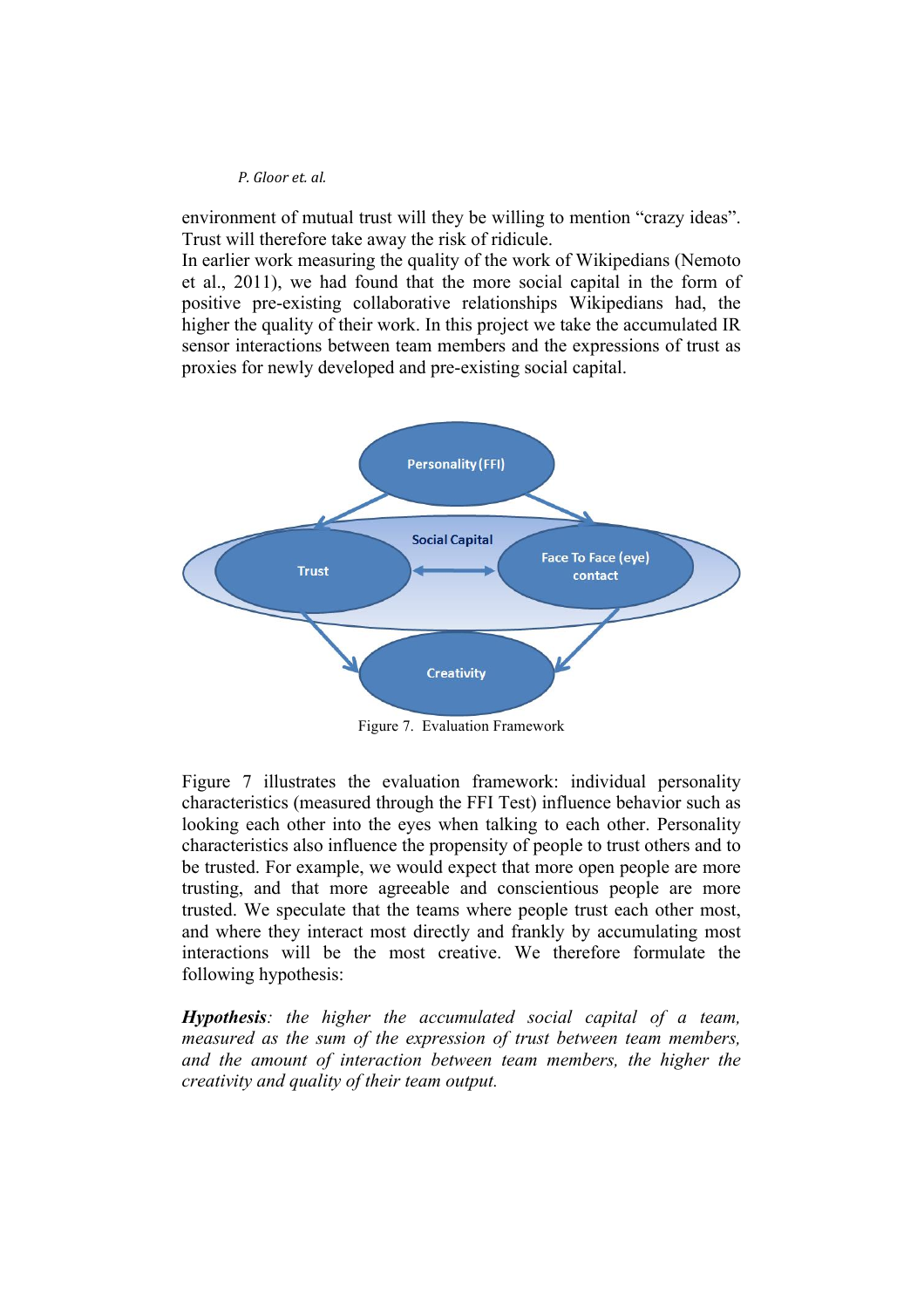environment of mutual trust will they be willing to mention "crazy ideas". Trust will therefore take away the risk of ridicule.

In earlier work measuring the quality of the work of Wikipedians (Nemoto et al., 2011), we had found that the more social capital in the form of positive pre-existing collaborative relationships Wikipedians had, the higher the quality of their work. In this project we take the accumulated IR sensor interactions between team members and the expressions of trust as proxies for newly developed and pre-existing social capital.



Figure 7. Evaluation Framework

Figure 7 illustrates the evaluation framework: individual personality characteristics (measured through the FFI Test) influence behavior such as looking each other into the eyes when talking to each other. Personality characteristics also influence the propensity of people to trust others and to be trusted. For example, we would expect that more open people are more trusting, and that more agreeable and conscientious people are more trusted. We speculate that the teams where people trust each other most, and where they interact most directly and frankly by accumulating most interactions will be the most creative. We therefore formulate the following hypothesis:

*Hypothesis: the higher the accumulated social capital of a team, measured as the sum of the expression of trust between team members, and the amount of interaction between team members, the higher the creativity and quality of their team output.*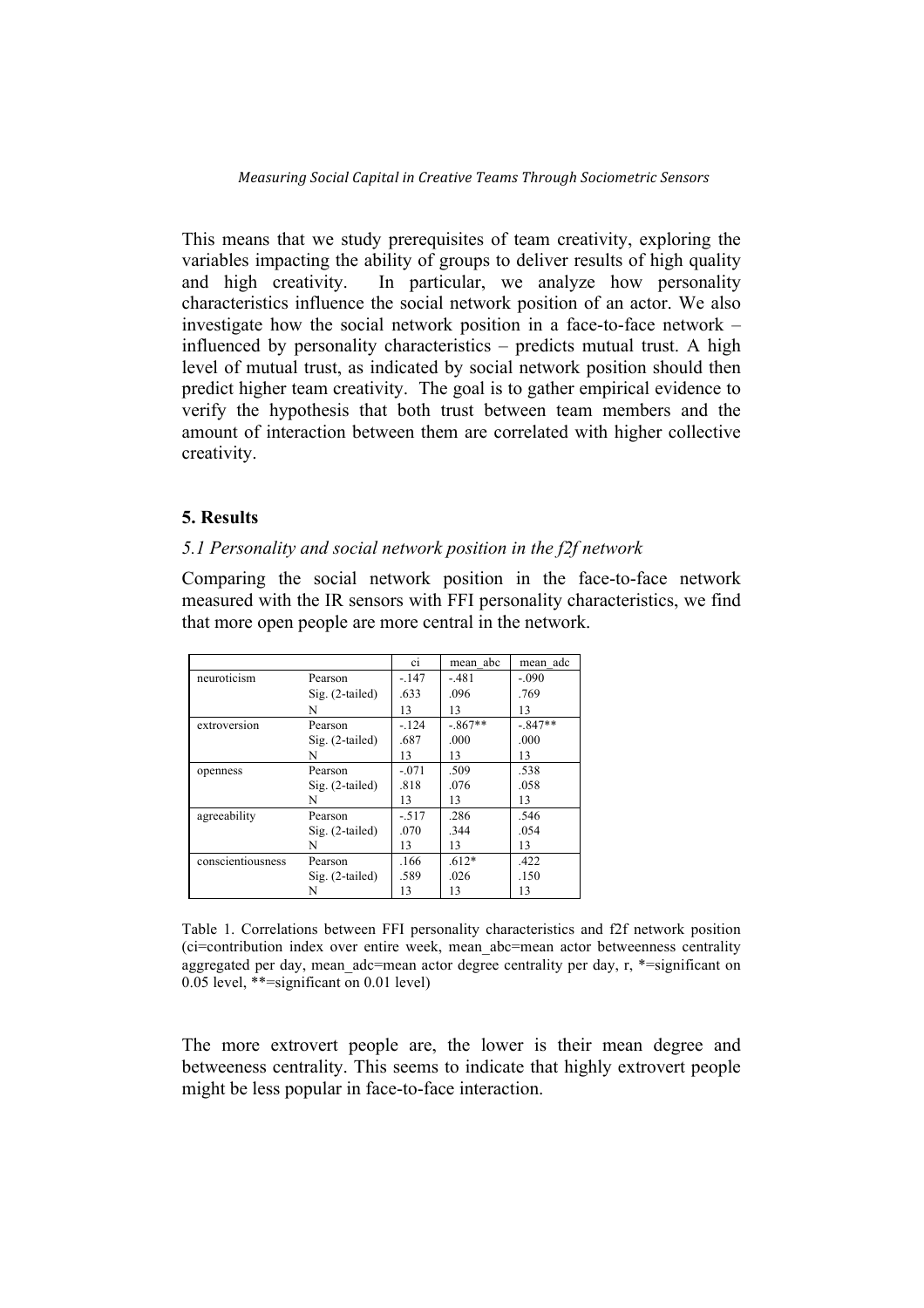This means that we study prerequisites of team creativity, exploring the variables impacting the ability of groups to deliver results of high quality and high creativity. In particular, we analyze how personality characteristics influence the social network position of an actor. We also investigate how the social network position in a face-to-face network – influenced by personality characteristics – predicts mutual trust. A high level of mutual trust, as indicated by social network position should then predict higher team creativity. The goal is to gather empirical evidence to verify the hypothesis that both trust between team members and the amount of interaction between them are correlated with higher collective creativity.

# **5. Results**

#### *5.1 Personality and social network position in the f2f network*

Comparing the social network position in the face-to-face network measured with the IR sensors with FFI personality characteristics, we find that more open people are more central in the network.

|                   |                   | <sub>ci</sub> | mean abc  | mean adc  |
|-------------------|-------------------|---------------|-----------|-----------|
| neuroticism       | Pearson           | $-147$        | $-481$    | $-.090$   |
|                   | $Sig. (2-tailed)$ | .633          | .096      | .769      |
|                   | N                 | 13            | 13        | 13        |
| extroversion      | Pearson           | $-124$        | $-.867**$ | $-.847**$ |
|                   | $Sig. (2-tailed)$ | .687          | .000      | .000      |
|                   | N                 | 13            | 13        | 13        |
| openness          | Pearson           | $-.071$       | .509      | .538      |
|                   | $Sig. (2-tailed)$ | .818          | .076      | .058      |
|                   | N                 | 13            | 13        | 13        |
| agreeability      | Pearson           | $-.517$       | .286      | .546      |
|                   | $Sig. (2-tailed)$ | .070          | .344      | .054      |
|                   | N                 | 13            | 13        | 13        |
| conscientiousness | Pearson           | .166          | $.612*$   | .422      |
|                   | $Sig. (2-tailed)$ | .589          | .026      | .150      |
|                   | N                 | 13            | 13        | 13        |

Table 1. Correlations between FFI personality characteristics and f2f network position (ci=contribution index over entire week, mean\_abc=mean actor betweenness centrality aggregated per day, mean adc=mean actor degree centrality per day, r, \*=significant on 0.05 level, \*\*=significant on 0.01 level)

The more extrovert people are, the lower is their mean degree and betweeness centrality. This seems to indicate that highly extrovert people might be less popular in face-to-face interaction.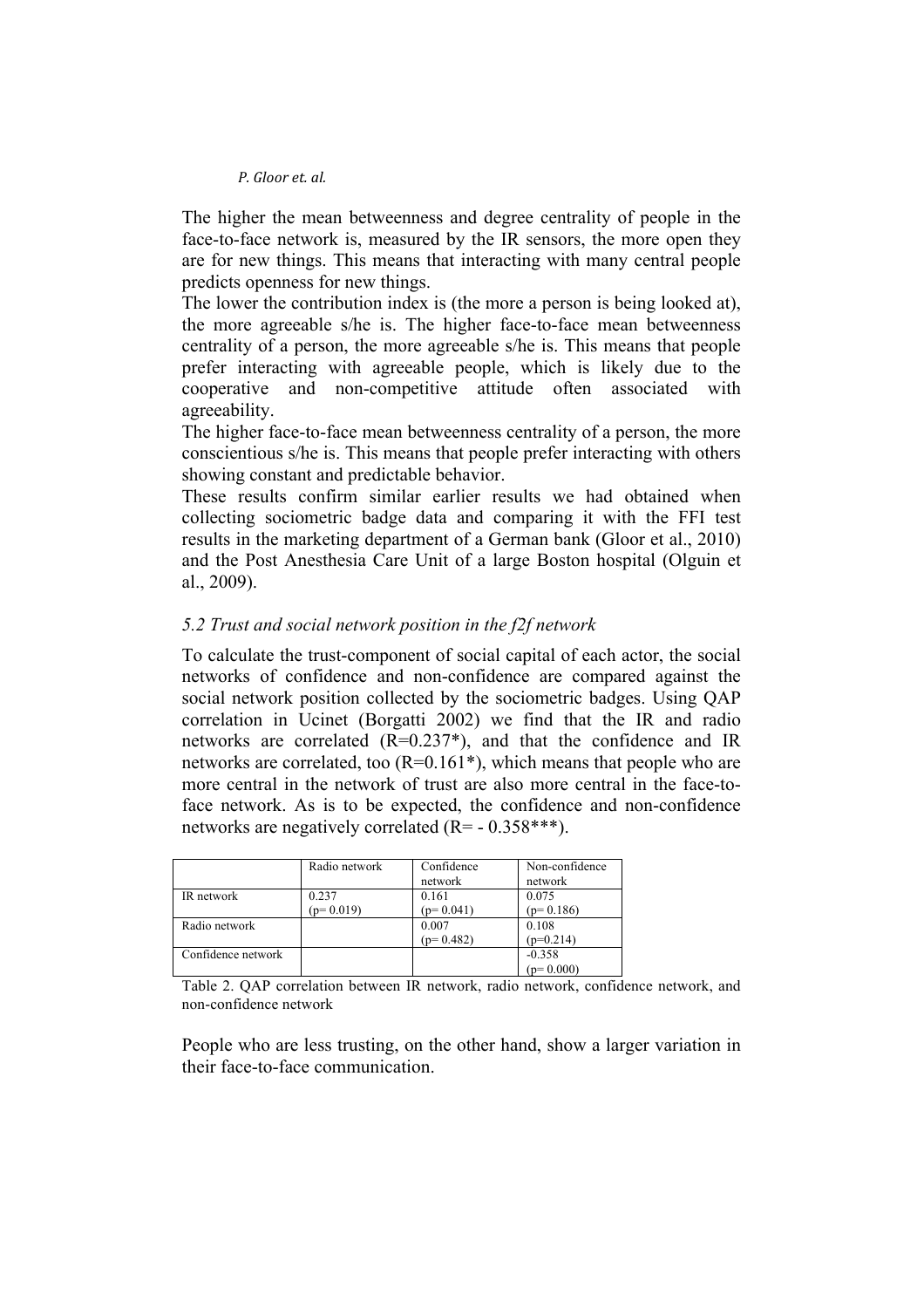The higher the mean betweenness and degree centrality of people in the face-to-face network is, measured by the IR sensors, the more open they are for new things. This means that interacting with many central people predicts openness for new things.

The lower the contribution index is (the more a person is being looked at), the more agreeable s/he is. The higher face-to-face mean betweenness centrality of a person, the more agreeable s/he is. This means that people prefer interacting with agreeable people, which is likely due to the cooperative and non-competitive attitude often associated with agreeability.

The higher face-to-face mean betweenness centrality of a person, the more conscientious s/he is. This means that people prefer interacting with others showing constant and predictable behavior.

These results confirm similar earlier results we had obtained when collecting sociometric badge data and comparing it with the FFI test results in the marketing department of a German bank (Gloor et al., 2010) and the Post Anesthesia Care Unit of a large Boston hospital (Olguin et al., 2009).

# *5.2 Trust and social network position in the f2f network*

To calculate the trust-component of social capital of each actor, the social networks of confidence and non-confidence are compared against the social network position collected by the sociometric badges. Using QAP correlation in Ucinet (Borgatti 2002) we find that the IR and radio networks are correlated  $(R=0.237^*)$ , and that the confidence and IR networks are correlated, too  $(R=0.161^*)$ , which means that people who are more central in the network of trust are also more central in the face-toface network. As is to be expected, the confidence and non-confidence networks are negatively correlated (R= - 0.358\*\*\*).

|                    | Radio network | Confidence<br>network | Non-confidence<br>network |
|--------------------|---------------|-----------------------|---------------------------|
| IR network         | 0.237         | 0.161                 | 0.075                     |
|                    | $(p=0.019)$   | $(p=0.041)$           | $(p=0.186)$               |
| Radio network      |               | 0.007                 | 0.108                     |
|                    |               | $(p=0.482)$           | $(p=0.214)$               |
| Confidence network |               |                       | $-0.358$                  |
|                    |               |                       | $(p=0.000)$               |

Table 2. QAP correlation between IR network, radio network, confidence network, and non-confidence network

People who are less trusting, on the other hand, show a larger variation in their face-to-face communication.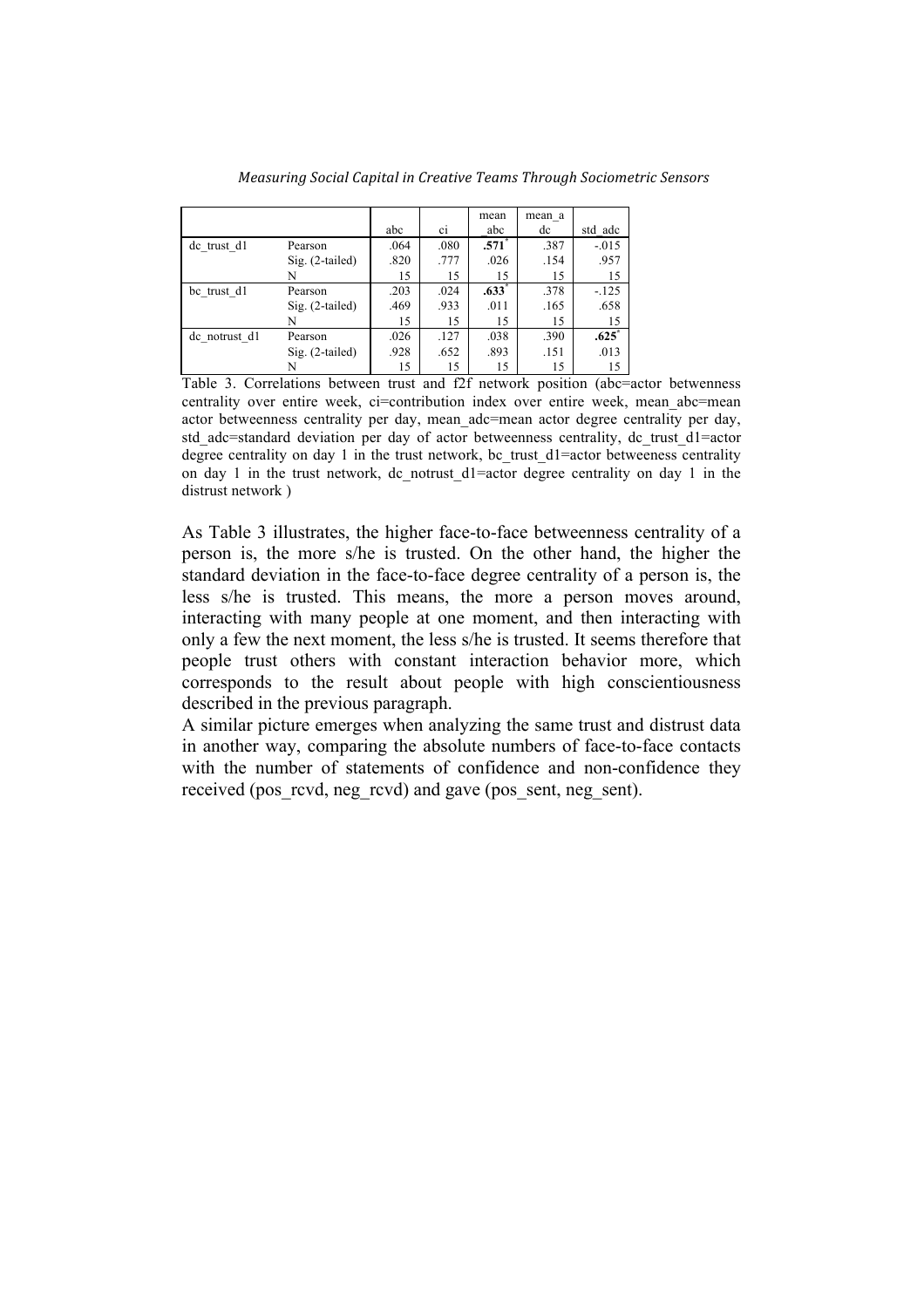|               |                   |      |      | mean    | mean a |                     |
|---------------|-------------------|------|------|---------|--------|---------------------|
|               |                   | abc  | C1   | abc     | dc     | std adc             |
| de trust d1   | Pearson           | .064 | .080 | $.571*$ | .387   | $-.015$             |
|               | $Sig.$ (2-tailed) | .820 | .777 | .026    | .154   | .957                |
|               | N                 | 15   | 15   | 15      | 15     | 15                  |
| be trust d1   | Pearson           | .203 | .024 | $.633*$ | .378   | $-125$              |
|               | Sig. (2-tailed)   | .469 | .933 | .011    | .165   | .658                |
|               | N                 | 15   | 15   | 15      | 15     | 15                  |
| de notrust d1 | Pearson           | .026 | .127 | .038    | .390   | $.625$ <sup>*</sup> |
|               | $Sig.$ (2-tailed) | .928 | .652 | .893    | .151   | .013                |
|               |                   | 15   | 15   | 15      | 15     | 15                  |

*Measuring%Social%Capital%in%Creative%Teams%Through%Sociometric%Sensors*

Table 3. Correlations between trust and f2f network position (abc=actor betwenness centrality over entire week, ci=contribution index over entire week, mean abc=mean actor betweenness centrality per day, mean\_adc=mean actor degree centrality per day, std\_adc=standard deviation per day of actor betweenness centrality, dc\_trust\_d1=actor degree centrality on day 1 in the trust network, bc\_trust\_d1=actor betweeness centrality on day 1 in the trust network, dc notrust  $dl = ac$  degree centrality on day 1 in the distrust network )

As Table 3 illustrates, the higher face-to-face betweenness centrality of a person is, the more s/he is trusted. On the other hand, the higher the standard deviation in the face-to-face degree centrality of a person is, the less s/he is trusted. This means, the more a person moves around, interacting with many people at one moment, and then interacting with only a few the next moment, the less s/he is trusted. It seems therefore that people trust others with constant interaction behavior more, which corresponds to the result about people with high conscientiousness described in the previous paragraph.

A similar picture emerges when analyzing the same trust and distrust data in another way, comparing the absolute numbers of face-to-face contacts with the number of statements of confidence and non-confidence they received (pos\_rcvd, neg\_rcvd) and gave (pos\_sent, neg\_sent).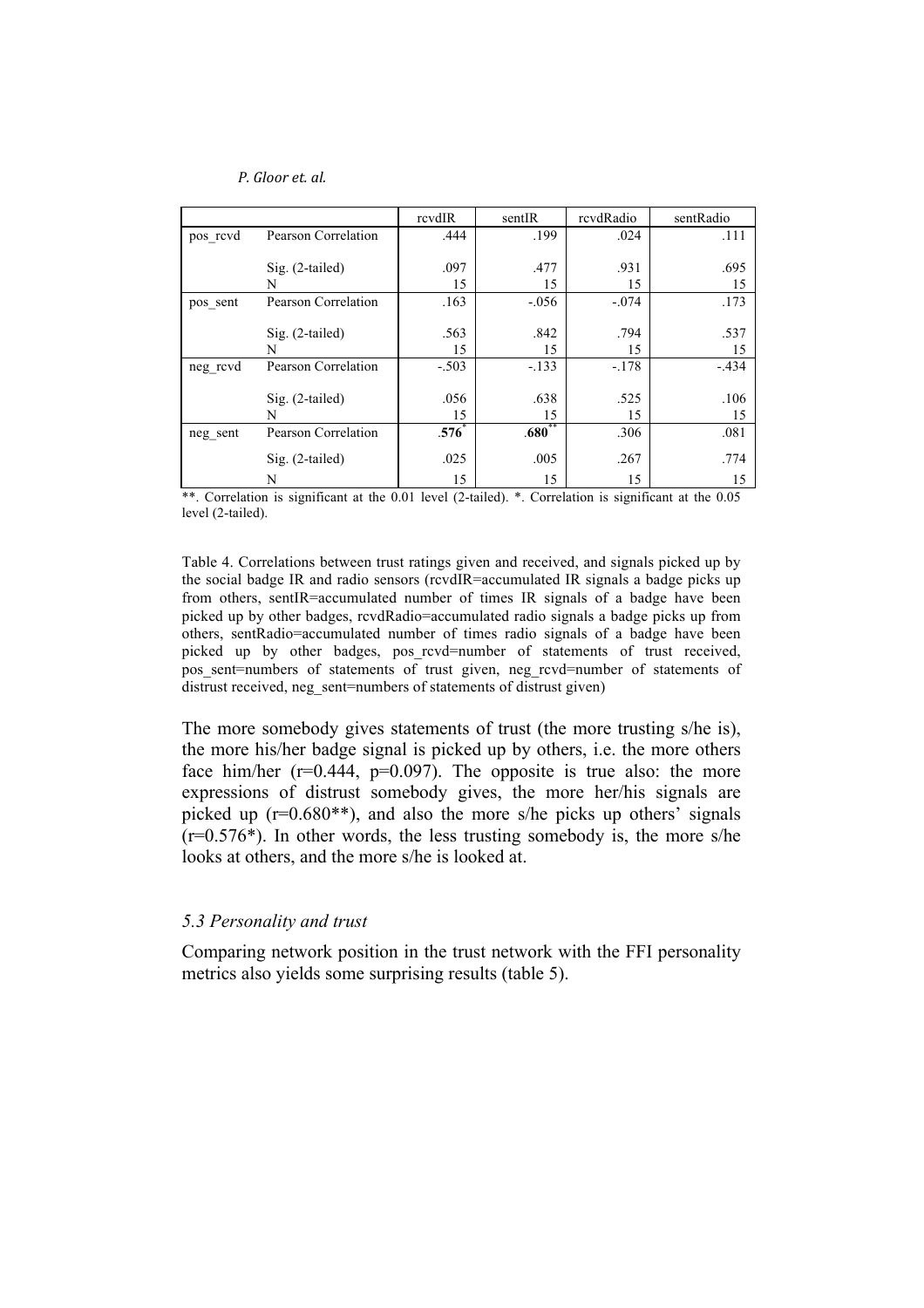|          |                     | rcvdIR  | sentIR   | rcvdRadio | sentRadio |
|----------|---------------------|---------|----------|-----------|-----------|
| pos revd | Pearson Correlation | .444    | .199     | .024      | .111      |
|          |                     |         |          |           |           |
|          | Sig. (2-tailed)     | .097    | .477     | .931      | .695      |
|          | N                   | 15      | 15       | 15        | 15        |
| pos sent | Pearson Correlation | .163    | $-.056$  | $-.074$   | .173      |
|          |                     |         |          |           |           |
|          | $Sig. (2-tailed)$   | .563    | .842     | .794      | .537      |
|          | N                   | 15      | 15       | 15        | 15        |
| neg rcvd | Pearson Correlation | $-.503$ | $-.133$  | $-.178$   | $-.434$   |
|          |                     |         |          |           |           |
|          | Sig. (2-tailed)     | .056    | .638     | .525      | .106      |
|          | N                   | 15      | 15       | 15        | 15        |
| neg sent | Pearson Correlation | $.576*$ | $.680**$ | .306      | .081      |
|          | $Sig. (2-tailed)$   | .025    | .005     | .267      | .774      |
|          | N                   | 15      | 15       | 15        | 15        |

\*\*. Correlation is significant at the 0.01 level (2-tailed). \*. Correlation is significant at the 0.05 level (2-tailed).

Table 4. Correlations between trust ratings given and received, and signals picked up by the social badge IR and radio sensors (rcvdIR=accumulated IR signals a badge picks up from others, sentIR=accumulated number of times IR signals of a badge have been picked up by other badges, rcvdRadio=accumulated radio signals a badge picks up from others, sentRadio=accumulated number of times radio signals of a badge have been picked up by other badges, pos\_rcvd=number of statements of trust received. pos sent=numbers of statements of trust given, neg rcvd=number of statements of distrust received, neg\_sent=numbers of statements of distrust given)

The more somebody gives statements of trust (the more trusting s/he is), the more his/her badge signal is picked up by others, i.e. the more others face him/her  $(r=0.444, p=0.097)$ . The opposite is true also: the more expressions of distrust somebody gives, the more her/his signals are picked up  $(r=0.680^{**})$ , and also the more s/he picks up others' signals  $(r=0.576*)$ . In other words, the less trusting somebody is, the more s/he looks at others, and the more s/he is looked at.

### *5.3 Personality and trust*

Comparing network position in the trust network with the FFI personality metrics also yields some surprising results (table 5).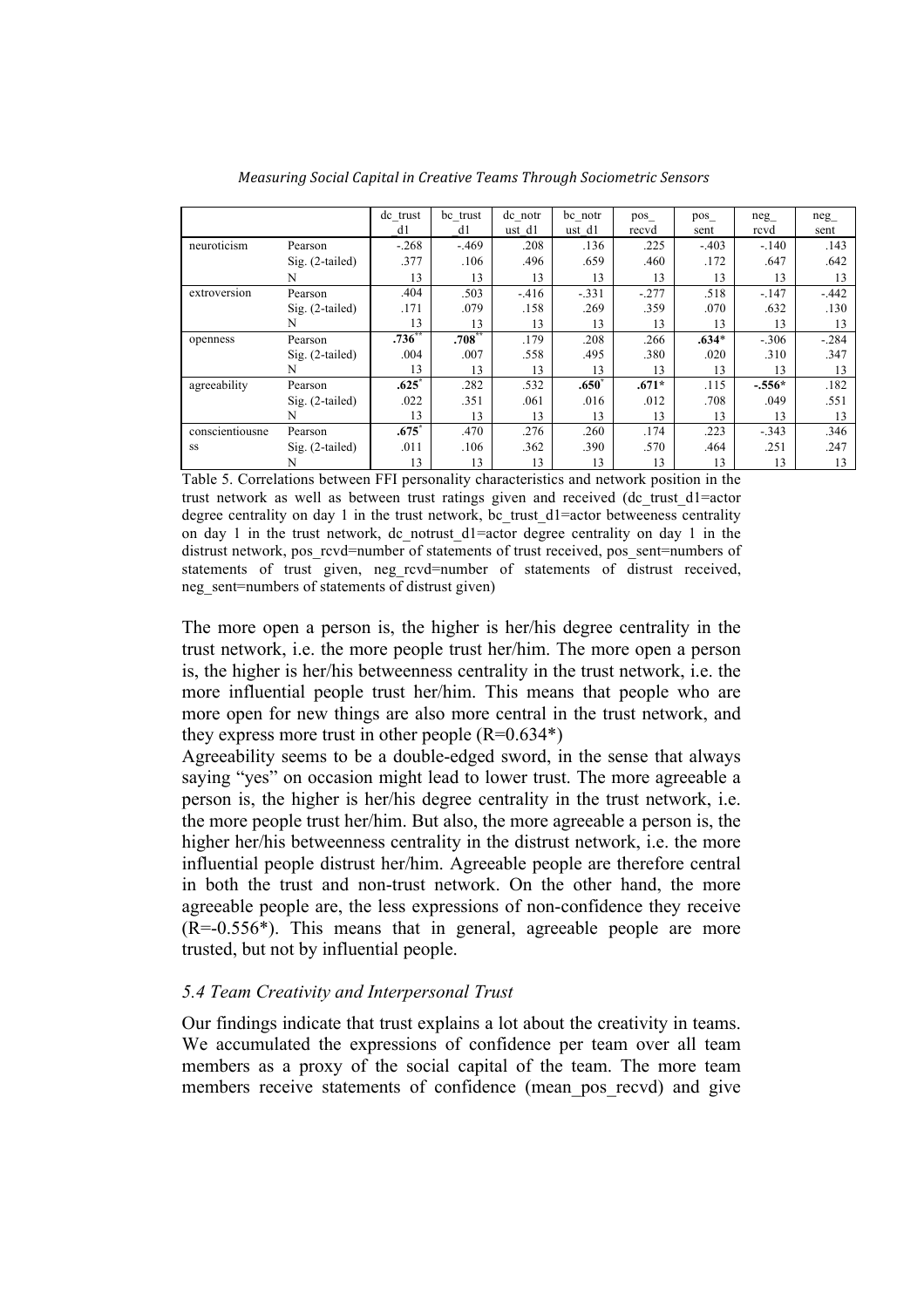|                 |                   | de trust    | be trust  | dc notr | be notr | pos     | pos     | neg      | neg     |
|-----------------|-------------------|-------------|-----------|---------|---------|---------|---------|----------|---------|
|                 |                   | d1          | d1        | ust d1  | ust d1  | recvd   | sent    | rcvd     | sent    |
| neuroticism     | Pearson           | $-.268$     | $-.469$   | .208    | .136    | .225    | $-.403$ | $-.140$  | .143    |
|                 | $Sig. (2-tailed)$ | .377        | .106      | .496    | .659    | .460    | .172    | .647     | .642    |
|                 | N                 | 13          | 13        | 13      | 13      | 13      | 13      | 13       | 13      |
| extroversion    | Pearson           | .404        | .503      | $-416$  | $-.331$ | $-.277$ | .518    | $-.147$  | $-.442$ |
|                 | $Sig. (2-tailed)$ | .171        | .079      | .158    | .269    | .359    | .070    | .632     | .130    |
|                 | N                 | 13          | 13        | 13      | 13      | 13      | 13      | 13       | 13      |
| openness        | Pearson           | $.736^{**}$ | $.708***$ | .179    | .208    | .266    | $.634*$ | $-.306$  | $-.284$ |
|                 | $Sig. (2-tailed)$ | .004        | .007      | .558    | .495    | .380    | .020    | .310     | .347    |
|                 | N                 | 13          | 13        | 13      | 13      | 13      | 13      | 13       | 13      |
| agreeability    | Pearson           | .625        | .282      | .532    | $.650*$ | $.671*$ | .115    | $-.556*$ | .182    |
|                 | $Sig. (2-tailed)$ | .022        | .351      | .061    | .016    | .012    | .708    | .049     | .551    |
|                 | N                 | 13          | 13        | 13      | 13      | 13      | 13      | 13       | 13      |
| conscientiousne | Pearson           | $.675*$     | .470      | .276    | .260    | .174    | .223    | $-.343$  | .346    |
| SS              | $Sig. (2-tailed)$ | .011        | .106      | .362    | .390    | .570    | .464    | .251     | .247    |
|                 | N                 | 13          | 13        | 13      | 13      | 13      | 13      | 13       | 13      |

*Measuring%Social%Capital%in%Creative%Teams%Through%Sociometric%Sensors*

Table 5. Correlations between FFI personality characteristics and network position in the trust network as well as between trust ratings given and received (dc\_trust\_d1=actor degree centrality on day 1 in the trust network, bc trust d1=actor betweeness centrality on day 1 in the trust network, dc\_notrust\_d1=actor degree centrality on day 1 in the distrust network, pos\_rcvd=number of statements of trust received, pos\_sent=numbers of statements of trust given, neg rcvd=number of statements of distrust received, neg\_sent=numbers of statements of distrust given)

The more open a person is, the higher is her/his degree centrality in the trust network, i.e. the more people trust her/him. The more open a person is, the higher is her/his betweenness centrality in the trust network, i.e. the more influential people trust her/him. This means that people who are more open for new things are also more central in the trust network, and they express more trust in other people  $(R=0.634*)$ 

Agreeability seems to be a double-edged sword, in the sense that always saying "yes" on occasion might lead to lower trust. The more agreeable a person is, the higher is her/his degree centrality in the trust network, i.e. the more people trust her/him. But also, the more agreeable a person is, the higher her/his betweenness centrality in the distrust network, i.e. the more influential people distrust her/him. Agreeable people are therefore central in both the trust and non-trust network. On the other hand, the more agreeable people are, the less expressions of non-confidence they receive (R=-0.556\*). This means that in general, agreeable people are more trusted, but not by influential people.

# *5.4 Team Creativity and Interpersonal Trust*

Our findings indicate that trust explains a lot about the creativity in teams. We accumulated the expressions of confidence per team over all team members as a proxy of the social capital of the team. The more team members receive statements of confidence (mean\_pos\_recvd) and give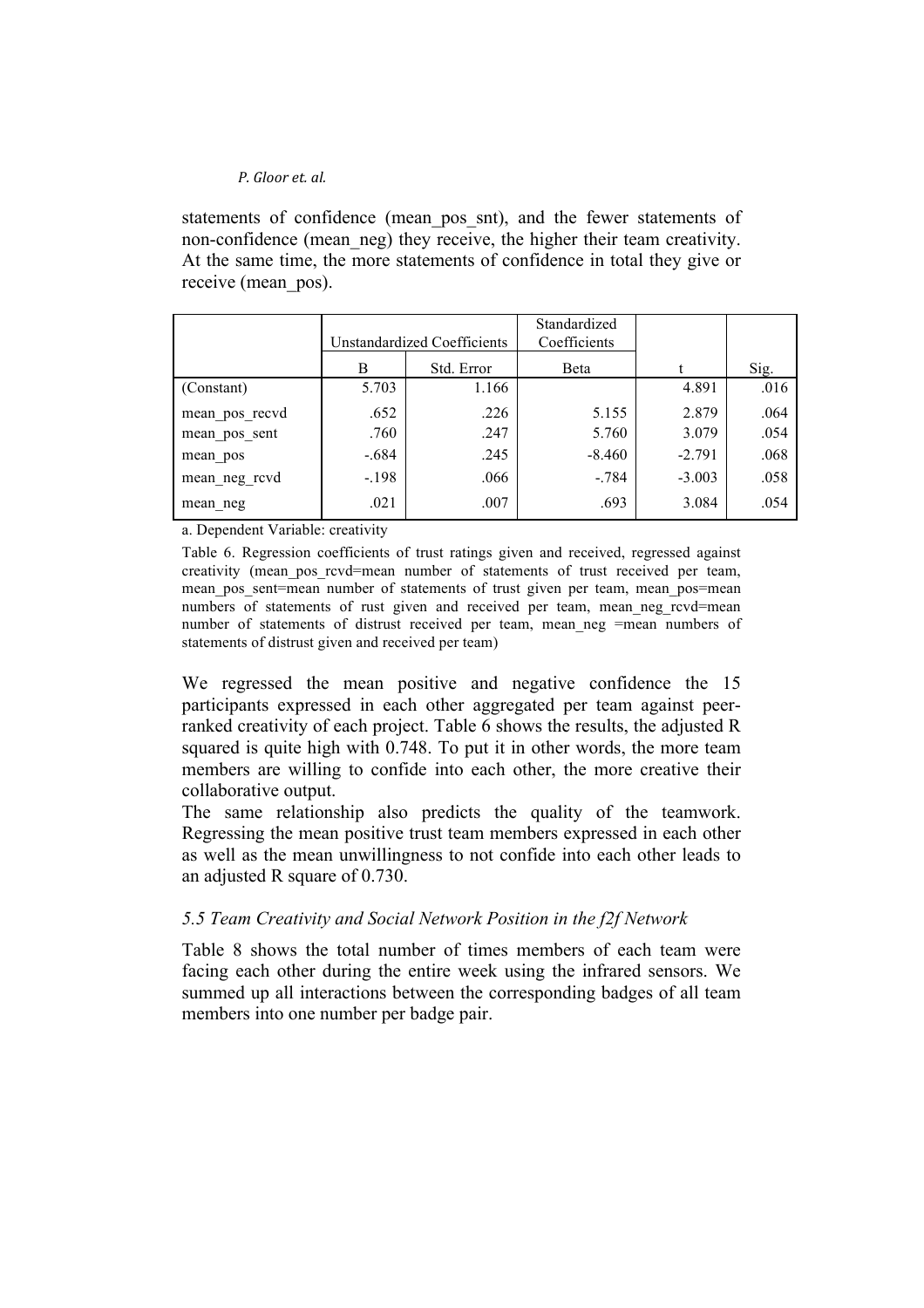statements of confidence (mean\_pos\_snt), and the fewer statements of non-confidence (mean\_neg) they receive, the higher their team creativity. At the same time, the more statements of confidence in total they give or receive (mean\_pos).

|                | Unstandardized Coefficients |            | Standardized<br>Coefficients |          |      |
|----------------|-----------------------------|------------|------------------------------|----------|------|
|                | B                           | Std. Error | Beta                         |          | Sig. |
| (Constant)     | 5.703                       | 1.166      |                              | 4.891    | .016 |
| mean pos recvd | .652                        | .226       | 5.155                        | 2.879    | .064 |
| mean pos sent  | .760                        | .247       | 5.760                        | 3.079    | .054 |
| mean pos       | $-.684$                     | .245       | $-8.460$                     | $-2.791$ | .068 |
| mean_neg_rcvd  | $-198$                      | .066       | $-.784$                      | $-3.003$ | .058 |
| mean neg       | .021                        | .007       | .693                         | 3.084    | .054 |

a. Dependent Variable: creativity

Table 6. Regression coefficients of trust ratings given and received, regressed against creativity (mean\_pos\_rcvd=mean number of statements of trust received per team, mean pos sent=mean number of statements of trust given per team, mean pos=mean numbers of statements of rust given and received per team, mean neg rcvd=mean number of statements of distrust received per team, mean neg =mean numbers of statements of distrust given and received per team)

We regressed the mean positive and negative confidence the 15 participants expressed in each other aggregated per team against peerranked creativity of each project. Table 6 shows the results, the adjusted R squared is quite high with 0.748. To put it in other words, the more team members are willing to confide into each other, the more creative their collaborative output.

The same relationship also predicts the quality of the teamwork. Regressing the mean positive trust team members expressed in each other as well as the mean unwillingness to not confide into each other leads to an adjusted R square of 0.730.

### *5.5 Team Creativity and Social Network Position in the f2f Network*

Table 8 shows the total number of times members of each team were facing each other during the entire week using the infrared sensors. We summed up all interactions between the corresponding badges of all team members into one number per badge pair.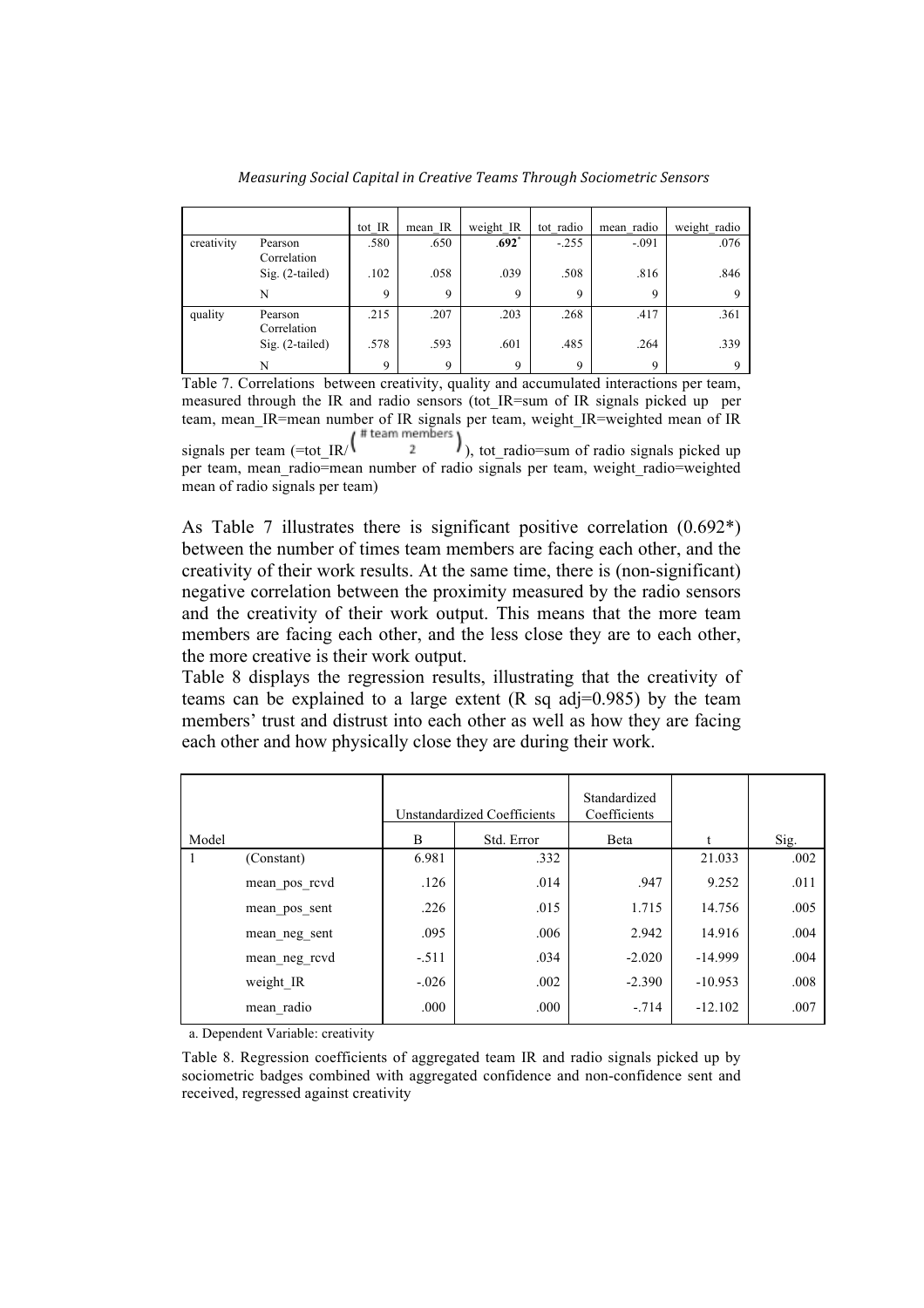*Measuring%Social%Capital%in%Creative%Teams%Through%Sociometric%Sensors*

|            |                        | tot IR      | mean IR     | weight IR           | tot radio | mean radio | weight radio |
|------------|------------------------|-------------|-------------|---------------------|-----------|------------|--------------|
| creativity | Pearson<br>Correlation | .580        | .650        | $.692$ <sup>*</sup> | $-.255$   | $-.091$    | .076         |
|            | Sig. (2-tailed)        | .102        | .058        | .039                | .508      | .816       | .846         |
|            | N                      | $\mathbf Q$ | 9           | 9                   | 9         | 9          | Q            |
| quality    | Pearson<br>Correlation | .215        | .207        | .203                | .268      | .417       | .361         |
|            | $Sig. (2-tailed)$      | .578        | .593        | .601                | .485      | .264       | .339         |
|            | N                      | $\mathbf Q$ | $\mathbf Q$ | 9                   | 9         | 9          | Q            |

Table 7. Correlations between creativity, quality and accumulated interactions per team, measured through the IR and radio sensors (tot IR=sum of IR signals picked up per team, mean IR=mean number of IR signals per team, weight IR=weighted mean of IR

signals per team  $(=tot_R / \frac{t \cdot \text{mean} - \text{mean}}{2})$ , tot\_radio=sum of radio signals picked up per team, mean radio=mean number of radio signals per team, weight radio=weighted mean of radio signals per team)

As Table 7 illustrates there is significant positive correlation (0.692\*) between the number of times team members are facing each other, and the creativity of their work results. At the same time, there is (non-significant) negative correlation between the proximity measured by the radio sensors and the creativity of their work output. This means that the more team members are facing each other, and the less close they are to each other, the more creative is their work output.

Table 8 displays the regression results, illustrating that the creativity of teams can be explained to a large extent  $(R \text{ sq } \text{adj}=0.985)$  by the team members' trust and distrust into each other as well as how they are facing each other and how physically close they are during their work.

|       |               |         | Unstandardized Coefficients | Standardized<br>Coefficients |           |      |
|-------|---------------|---------|-----------------------------|------------------------------|-----------|------|
| Model |               | B       | Std. Error                  | Beta                         |           | Sig. |
|       | (Constant)    | 6.981   | .332                        |                              | 21.033    | .002 |
|       | mean pos revd | .126    | .014                        | .947                         | 9.252     | .011 |
|       | mean pos sent | .226    | .015                        | 1.715                        | 14.756    | .005 |
|       | mean neg sent | .095    | .006                        | 2.942                        | 14.916    | .004 |
|       | mean neg rcvd | $-.511$ | .034                        | $-2.020$                     | $-14.999$ | .004 |
|       | weight IR     | $-.026$ | .002                        | $-2.390$                     | $-10.953$ | .008 |
|       | mean radio    | .000    | .000                        | $-.714$                      | $-12.102$ | .007 |

a. Dependent Variable: creativity

Table 8. Regression coefficients of aggregated team IR and radio signals picked up by sociometric badges combined with aggregated confidence and non-confidence sent and received, regressed against creativity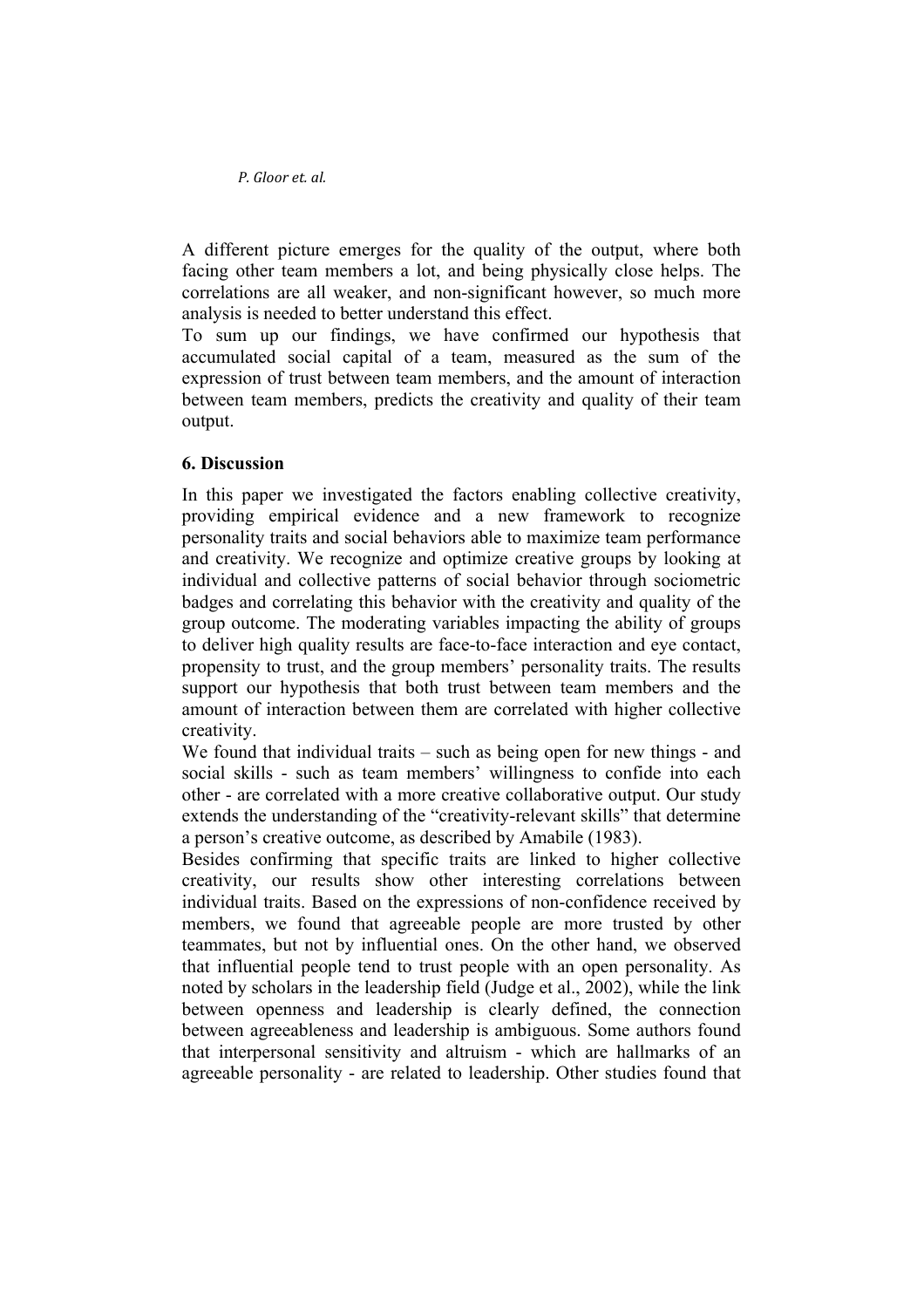A different picture emerges for the quality of the output, where both facing other team members a lot, and being physically close helps. The correlations are all weaker, and non-significant however, so much more analysis is needed to better understand this effect.

To sum up our findings, we have confirmed our hypothesis that accumulated social capital of a team, measured as the sum of the expression of trust between team members, and the amount of interaction between team members, predicts the creativity and quality of their team output.

# **6. Discussion**

In this paper we investigated the factors enabling collective creativity, providing empirical evidence and a new framework to recognize personality traits and social behaviors able to maximize team performance and creativity. We recognize and optimize creative groups by looking at individual and collective patterns of social behavior through sociometric badges and correlating this behavior with the creativity and quality of the group outcome. The moderating variables impacting the ability of groups to deliver high quality results are face-to-face interaction and eye contact, propensity to trust, and the group members' personality traits. The results support our hypothesis that both trust between team members and the amount of interaction between them are correlated with higher collective creativity.

We found that individual traits – such as being open for new things - and social skills - such as team members' willingness to confide into each other - are correlated with a more creative collaborative output. Our study extends the understanding of the "creativity-relevant skills" that determine a person's creative outcome, as described by Amabile (1983).

Besides confirming that specific traits are linked to higher collective creativity, our results show other interesting correlations between individual traits. Based on the expressions of non-confidence received by members, we found that agreeable people are more trusted by other teammates, but not by influential ones. On the other hand, we observed that influential people tend to trust people with an open personality. As noted by scholars in the leadership field (Judge et al., 2002), while the link between openness and leadership is clearly defined, the connection between agreeableness and leadership is ambiguous. Some authors found that interpersonal sensitivity and altruism - which are hallmarks of an agreeable personality - are related to leadership. Other studies found that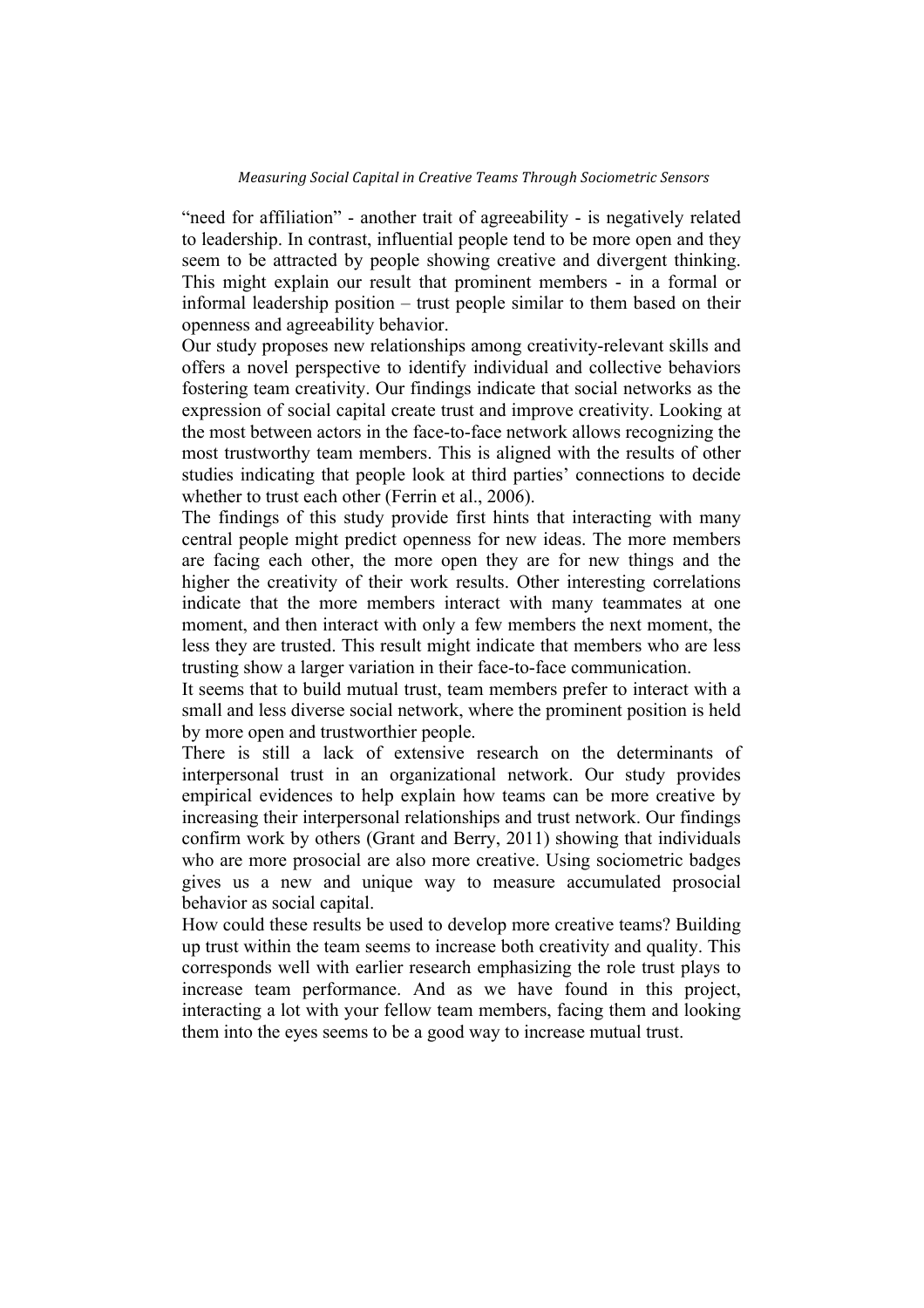"need for affiliation" - another trait of agreeability - is negatively related to leadership. In contrast, influential people tend to be more open and they seem to be attracted by people showing creative and divergent thinking. This might explain our result that prominent members - in a formal or informal leadership position – trust people similar to them based on their openness and agreeability behavior.

Our study proposes new relationships among creativity-relevant skills and offers a novel perspective to identify individual and collective behaviors fostering team creativity. Our findings indicate that social networks as the expression of social capital create trust and improve creativity. Looking at the most between actors in the face-to-face network allows recognizing the most trustworthy team members. This is aligned with the results of other studies indicating that people look at third parties' connections to decide whether to trust each other (Ferrin et al., 2006).

The findings of this study provide first hints that interacting with many central people might predict openness for new ideas. The more members are facing each other, the more open they are for new things and the higher the creativity of their work results. Other interesting correlations indicate that the more members interact with many teammates at one moment, and then interact with only a few members the next moment, the less they are trusted. This result might indicate that members who are less trusting show a larger variation in their face-to-face communication.

It seems that to build mutual trust, team members prefer to interact with a small and less diverse social network, where the prominent position is held by more open and trustworthier people.

There is still a lack of extensive research on the determinants of interpersonal trust in an organizational network. Our study provides empirical evidences to help explain how teams can be more creative by increasing their interpersonal relationships and trust network. Our findings confirm work by others (Grant and Berry, 2011) showing that individuals who are more prosocial are also more creative. Using sociometric badges gives us a new and unique way to measure accumulated prosocial behavior as social capital.

How could these results be used to develop more creative teams? Building up trust within the team seems to increase both creativity and quality. This corresponds well with earlier research emphasizing the role trust plays to increase team performance. And as we have found in this project, interacting a lot with your fellow team members, facing them and looking them into the eyes seems to be a good way to increase mutual trust.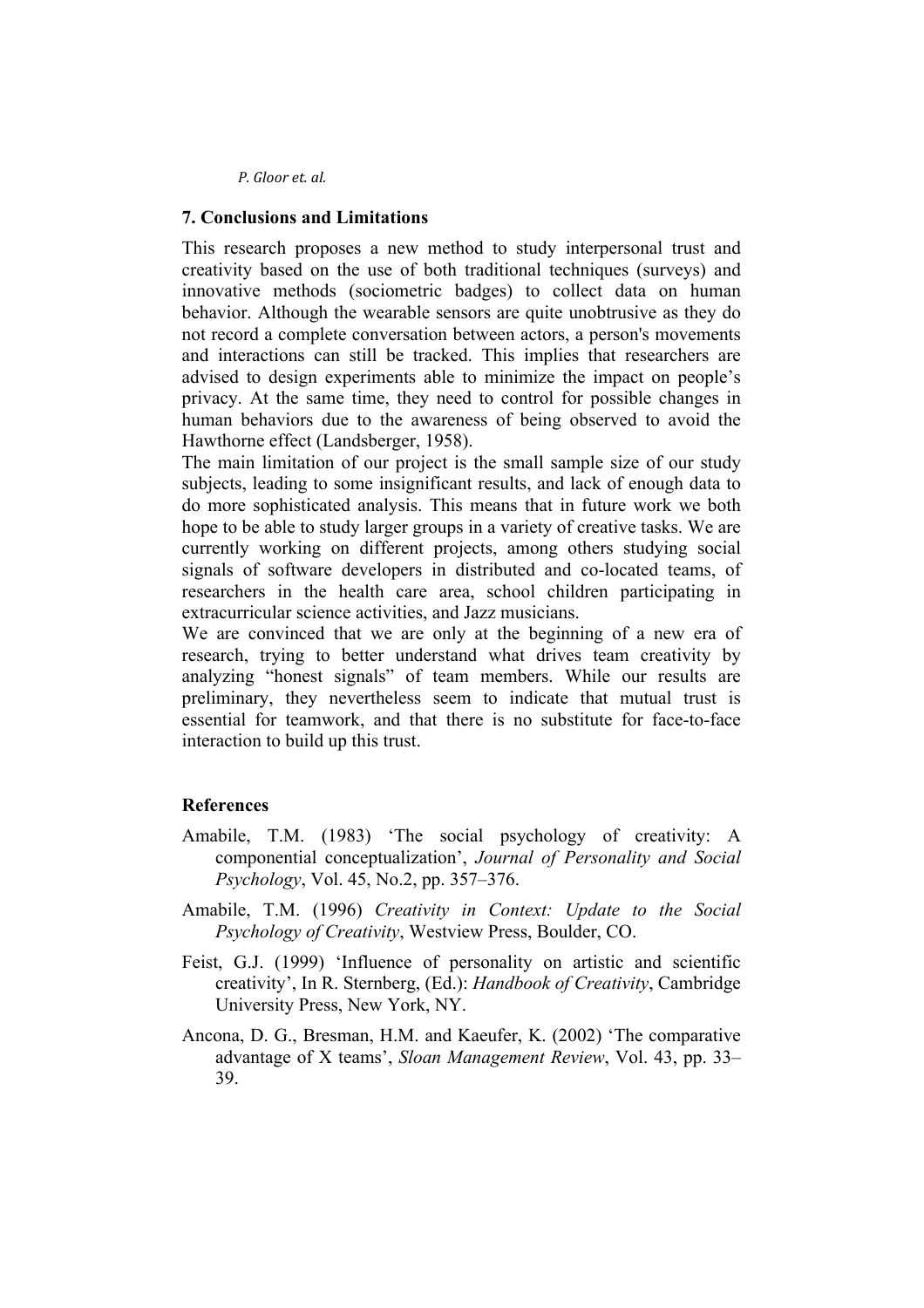# **7. Conclusions and Limitations**

This research proposes a new method to study interpersonal trust and creativity based on the use of both traditional techniques (surveys) and innovative methods (sociometric badges) to collect data on human behavior. Although the wearable sensors are quite unobtrusive as they do not record a complete conversation between actors, a person's movements and interactions can still be tracked. This implies that researchers are advised to design experiments able to minimize the impact on people's privacy. At the same time, they need to control for possible changes in human behaviors due to the awareness of being observed to avoid the Hawthorne effect (Landsberger, 1958).

The main limitation of our project is the small sample size of our study subjects, leading to some insignificant results, and lack of enough data to do more sophisticated analysis. This means that in future work we both hope to be able to study larger groups in a variety of creative tasks. We are currently working on different projects, among others studying social signals of software developers in distributed and co-located teams, of researchers in the health care area, school children participating in extracurricular science activities, and Jazz musicians.

We are convinced that we are only at the beginning of a new era of research, trying to better understand what drives team creativity by analyzing "honest signals" of team members. While our results are preliminary, they nevertheless seem to indicate that mutual trust is essential for teamwork, and that there is no substitute for face-to-face interaction to build up this trust.

# **References**

- Amabile, T.M. (1983) 'The social psychology of creativity: A componential conceptualization', *Journal of Personality and Social Psychology*, Vol. 45, No.2, pp. 357–376.
- Amabile, T.M. (1996) *Creativity in Context: Update to the Social Psychology of Creativity*, Westview Press, Boulder, CO.
- Feist, G.J. (1999) 'Influence of personality on artistic and scientific creativity', In R. Sternberg, (Ed.): *Handbook of Creativity*, Cambridge University Press, New York, NY.
- Ancona, D. G., Bresman, H.M. and Kaeufer, K. (2002) 'The comparative advantage of X teams', *Sloan Management Review*, Vol. 43, pp. 33– 39.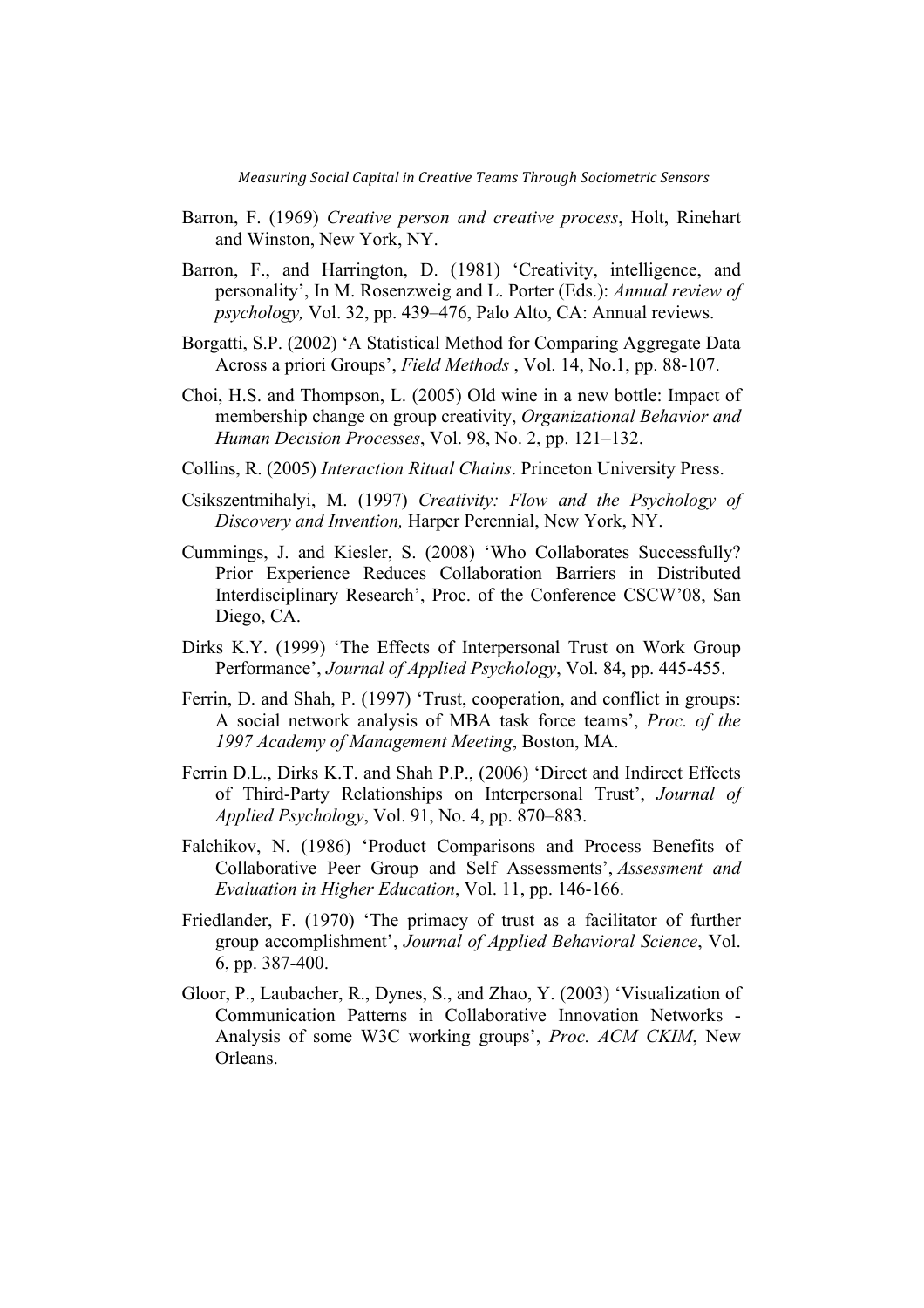- Barron, F. (1969) *Creative person and creative process*, Holt, Rinehart and Winston, New York, NY.
- Barron, F., and Harrington, D. (1981) 'Creativity, intelligence, and personality', In M. Rosenzweig and L. Porter (Eds.): *Annual review of psychology,* Vol. 32, pp. 439–476, Palo Alto, CA: Annual reviews.
- Borgatti, S.P. (2002) 'A Statistical Method for Comparing Aggregate Data Across a priori Groups', *Field Methods* , Vol. 14, No.1, pp. 88-107.
- Choi, H.S. and Thompson, L. (2005) Old wine in a new bottle: Impact of membership change on group creativity, *Organizational Behavior and Human Decision Processes*, Vol. 98, No. 2, pp. 121–132.
- Collins, R. (2005) *Interaction Ritual Chains*. Princeton University Press.
- Csikszentmihalyi, M. (1997) *Creativity: Flow and the Psychology of Discovery and Invention,* Harper Perennial, New York, NY.
- Cummings, J. and Kiesler, S. (2008) 'Who Collaborates Successfully? Prior Experience Reduces Collaboration Barriers in Distributed Interdisciplinary Research', Proc. of the Conference CSCW'08, San Diego, CA.
- Dirks K.Y. (1999) 'The Effects of Interpersonal Trust on Work Group Performance', *Journal of Applied Psychology*, Vol. 84, pp. 445-455.
- Ferrin, D. and Shah, P. (1997) 'Trust, cooperation, and conflict in groups: A social network analysis of MBA task force teams', *Proc. of the 1997 Academy of Management Meeting*, Boston, MA.
- Ferrin D.L., Dirks K.T. and Shah P.P., (2006) 'Direct and Indirect Effects of Third-Party Relationships on Interpersonal Trust', *Journal of Applied Psychology*, Vol. 91, No. 4, pp. 870–883.
- Falchikov, N. (1986) 'Product Comparisons and Process Benefits of Collaborative Peer Group and Self Assessments', *Assessment and Evaluation in Higher Education*, Vol. 11, pp. 146-166.
- Friedlander, F. (1970) 'The primacy of trust as a facilitator of further group accomplishment', *Journal of Applied Behavioral Science*, Vol. 6, pp. 387-400.
- Gloor, P., Laubacher, R., Dynes, S., and Zhao, Y. (2003) 'Visualization of Communication Patterns in Collaborative Innovation Networks - Analysis of some W3C working groups', *Proc. ACM CKIM*, New Orleans.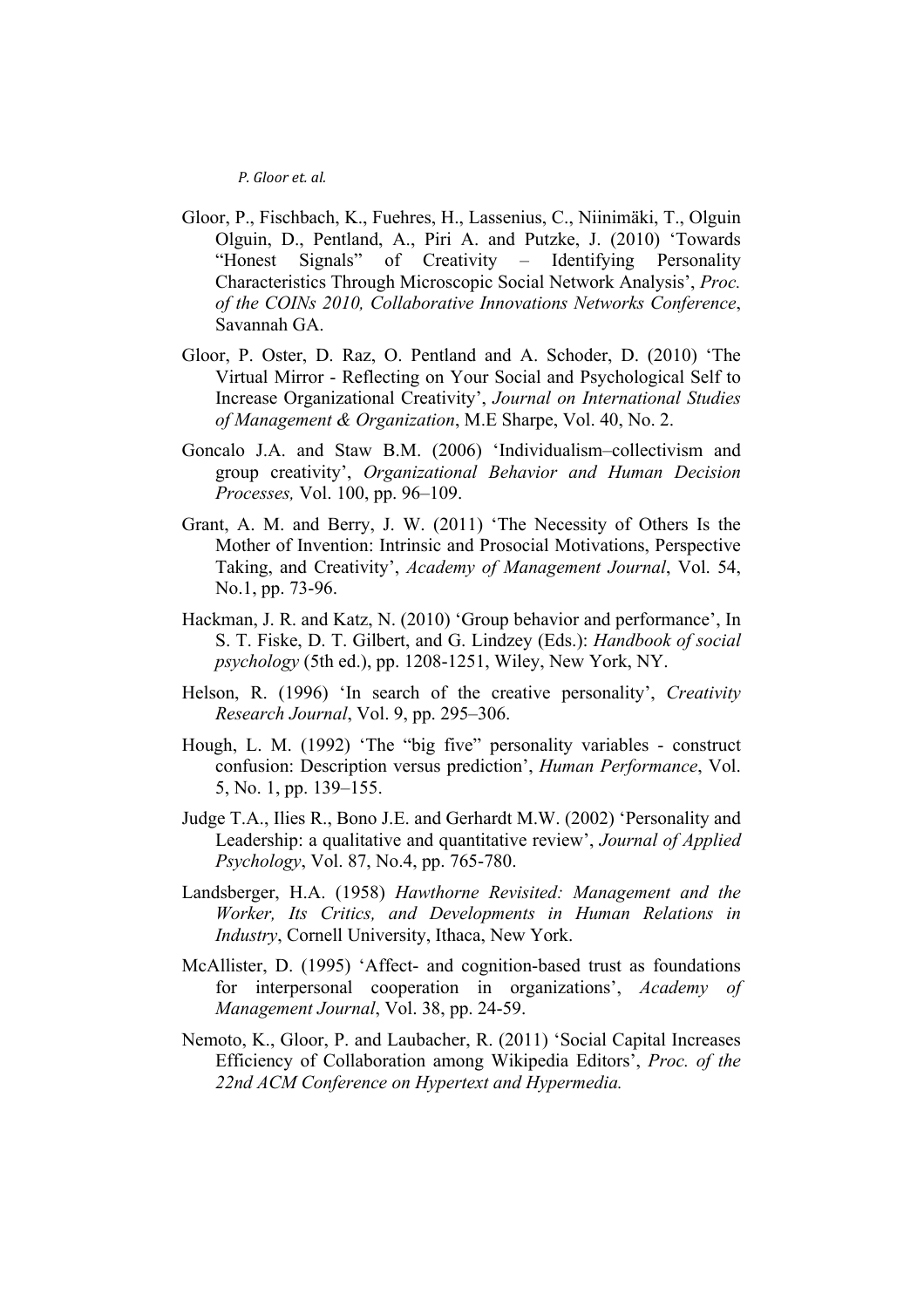- Gloor, P., Fischbach, K., Fuehres, H., Lassenius, C., Niinimäki, T., Olguin Olguin, D., Pentland, A., Piri A. and Putzke, J. (2010) 'Towards "Honest Signals" of Creativity – Identifying Personality Characteristics Through Microscopic Social Network Analysis', *Proc. of the COINs 2010, Collaborative Innovations Networks Conference*, Savannah GA.
- Gloor, P. Oster, D. Raz, O. Pentland and A. Schoder, D. (2010) 'The Virtual Mirror - Reflecting on Your Social and Psychological Self to Increase Organizational Creativity', *Journal on International Studies of Management & Organization*, M.E Sharpe, Vol. 40, No. 2.
- Goncalo J.A. and Staw B.M. (2006) 'Individualism–collectivism and group creativity', *Organizational Behavior and Human Decision Processes,* Vol. 100, pp. 96–109.
- Grant, A. M. and Berry, J. W. (2011) 'The Necessity of Others Is the Mother of Invention: Intrinsic and Prosocial Motivations, Perspective Taking, and Creativity', *Academy of Management Journal*, Vol. 54, No.1, pp. 73-96.
- Hackman, J. R. and Katz, N. (2010) 'Group behavior and performance', In S. T. Fiske, D. T. Gilbert, and G. Lindzey (Eds.): *Handbook of social psychology* (5th ed.), pp. 1208-1251, Wiley, New York, NY.
- Helson, R. (1996) 'In search of the creative personality', *Creativity Research Journal*, Vol. 9, pp. 295–306.
- Hough, L. M. (1992) 'The "big five" personality variables construct confusion: Description versus prediction', *Human Performance*, Vol. 5, No. 1, pp. 139–155.
- Judge T.A., Ilies R., Bono J.E. and Gerhardt M.W. (2002) 'Personality and Leadership: a qualitative and quantitative review', *Journal of Applied Psychology*, Vol. 87, No.4, pp. 765-780.
- Landsberger, H.A. (1958) *Hawthorne Revisited: Management and the Worker, Its Critics, and Developments in Human Relations in Industry*, Cornell University, Ithaca, New York.
- McAllister, D. (1995) 'Affect- and cognition-based trust as foundations for interpersonal cooperation in organizations', *Academy of Management Journal*, Vol. 38, pp. 24-59.
- Nemoto, K., Gloor, P. and Laubacher, R. (2011) 'Social Capital Increases Efficiency of Collaboration among Wikipedia Editors', *Proc. of the 22nd ACM Conference on Hypertext and Hypermedia.*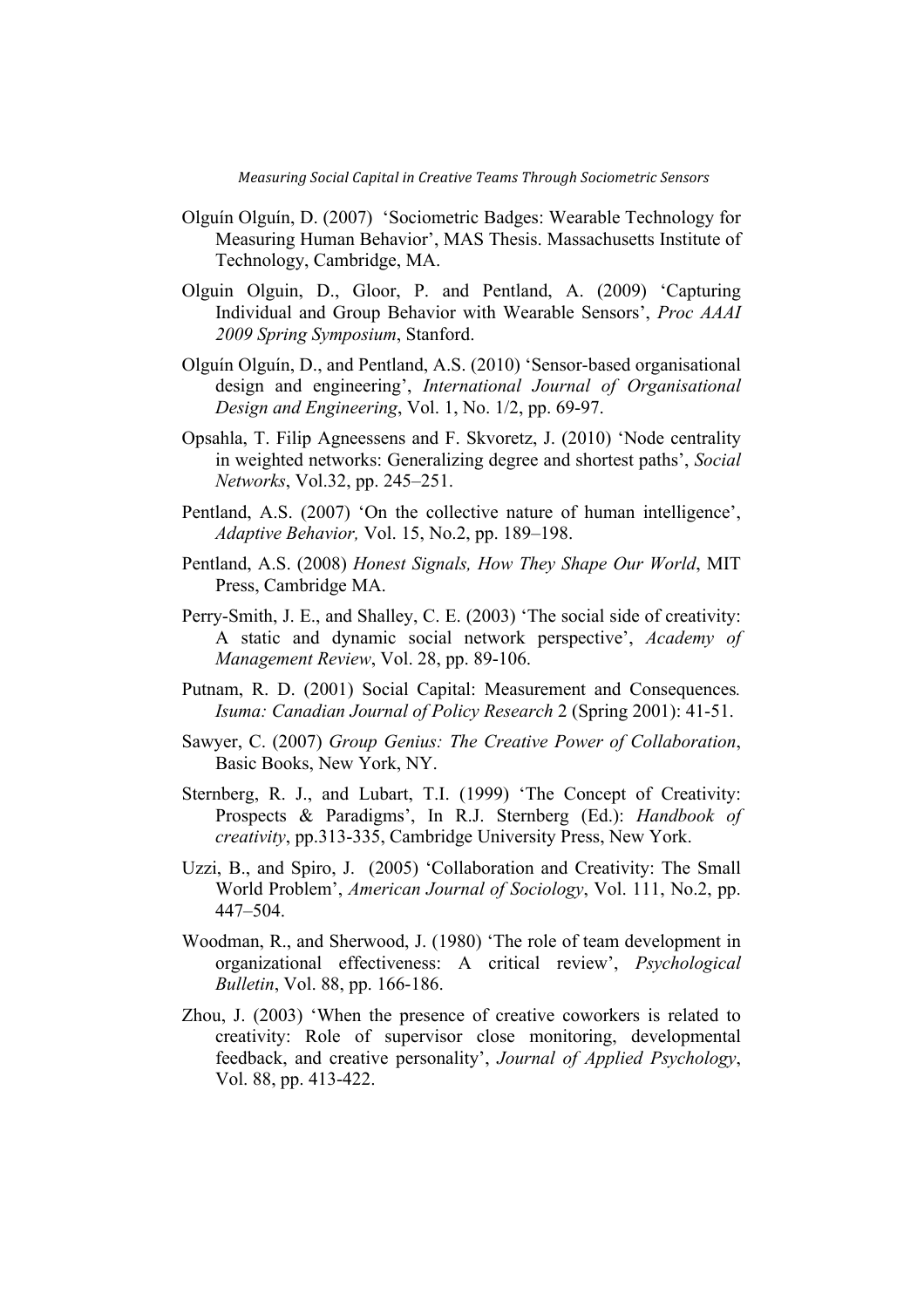- Olguín Olguín, D. (2007) 'Sociometric Badges: Wearable Technology for Measuring Human Behavior', MAS Thesis. Massachusetts Institute of Technology, Cambridge, MA.
- Olguin Olguin, D., Gloor, P. and Pentland, A. (2009) 'Capturing Individual and Group Behavior with Wearable Sensors', *Proc AAAI 2009 Spring Symposium*, Stanford.
- Olguín Olguín, D., and Pentland, A.S. (2010) 'Sensor-based organisational design and engineering', *International Journal of Organisational Design and Engineering*, Vol. 1, No. 1/2, pp. 69-97.
- Opsahla, T. Filip Agneessens and F. Skvoretz, J. (2010) 'Node centrality in weighted networks: Generalizing degree and shortest paths', *Social Networks*, Vol.32, pp. 245–251.
- Pentland, A.S. (2007) 'On the collective nature of human intelligence', *Adaptive Behavior,* Vol. 15, No.2, pp. 189–198.
- Pentland, A.S. (2008) *Honest Signals, How They Shape Our World*, MIT Press, Cambridge MA.
- Perry-Smith, J. E., and Shalley, C. E. (2003) 'The social side of creativity: A static and dynamic social network perspective', *Academy of Management Review*, Vol. 28, pp. 89-106.
- Putnam, R. D. (2001) Social Capital: Measurement and Consequences*. Isuma: Canadian Journal of Policy Research* 2 (Spring 2001): 41-51.
- Sawyer, C. (2007) *Group Genius: The Creative Power of Collaboration*, Basic Books, New York, NY.
- Sternberg, R. J., and Lubart, T.I. (1999) 'The Concept of Creativity: Prospects & Paradigms', In R.J. Sternberg (Ed.): *Handbook of creativity*, pp.313-335, Cambridge University Press, New York.
- Uzzi, B., and Spiro, J. (2005) 'Collaboration and Creativity: The Small World Problem', *American Journal of Sociology*, Vol. 111, No.2, pp. 447–504.
- Woodman, R., and Sherwood, J. (1980) 'The role of team development in organizational effectiveness: A critical review', *Psychological Bulletin*, Vol. 88, pp. 166-186.
- Zhou, J. (2003) 'When the presence of creative coworkers is related to creativity: Role of supervisor close monitoring, developmental feedback, and creative personality', *Journal of Applied Psychology*, Vol. 88, pp. 413-422.